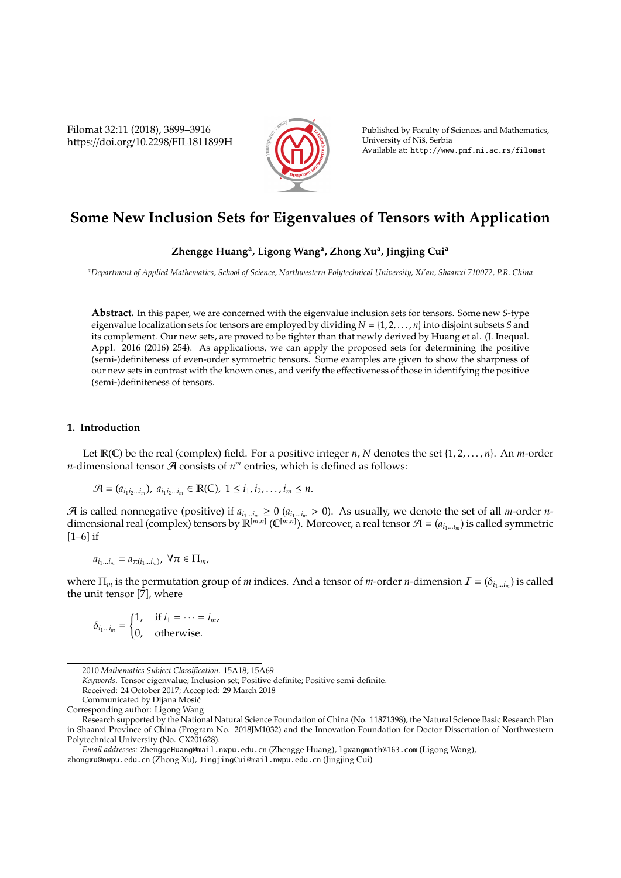Filomat 32:11 (2018), 3899–3916 https://doi.org/10.2298/FIL1811899H



Published by Faculty of Sciences and Mathematics, University of Nis, Serbia ˇ Available at: http://www.pmf.ni.ac.rs/filomat

# **Some New Inclusion Sets for Eigenvalues of Tensors with Application**

### **Zhengge Huang<sup>a</sup> , Ligong Wang<sup>a</sup> , Zhong Xu<sup>a</sup> , Jingjing Cui<sup>a</sup>**

*<sup>a</sup>Department of Applied Mathematics, School of Science, Northwestern Polytechnical University, Xi'an, Shaanxi 710072, P.R. China*

**Abstract.** In this paper, we are concerned with the eigenvalue inclusion sets for tensors. Some new *S*-type eigenvalue localization sets for tensors are employed by dividing *N* = {1, 2, . . . , *n*} into disjoint subsets *S* and its complement. Our new sets, are proved to be tighter than that newly derived by Huang et al. (J. Inequal. Appl. 2016 (2016) 254). As applications, we can apply the proposed sets for determining the positive (semi-)definiteness of even-order symmetric tensors. Some examples are given to show the sharpness of our new sets in contrast with the known ones, and verify the effectiveness of those in identifying the positive (semi-)definiteness of tensors.

#### **1. Introduction**

Let  $\mathbb{R}(\mathbb{C})$  be the real (complex) field. For a positive integer *n*, *N* denotes the set {1, 2, . . . , *n*}. An *m*-order *n*-dimensional tensor  $\mathcal A$  consists of  $n^m$  entries, which is defined as follows:

$$
\mathcal{A} = (a_{i_1 i_2 \ldots i_m}), \ a_{i_1 i_2 \ldots i_m} \in \mathbb{R}(\mathbb{C}), \ 1 \leq i_1, i_2, \ldots, i_m \leq n.
$$

A is called nonnegative (positive) if  $a_{i_1...i_m} \ge 0$  ( $a_{i_1...i_m} > 0$ ). As usually, we denote the set of all *m*-order *n*dimensional real (complex) tensors by  $\mathbb{R}^{[m,n]}$  ( $\mathbb{C}^{[m,n]}$ ). Moreover, a real tensor  $\mathcal{A} = (a_{i_1...i_m})$  is called symmetric [1–6] if

$$
a_{i_1\ldots i_m}=a_{\pi(i_1\ldots i_m)},\ \forall \pi\in\Pi_m,
$$

where  $\Pi_m$  is the permutation group of *m* indices. And a tensor of *m*-order *n*-dimension  $\mathcal{I} = (\delta_{i_1...i_m})$  is called the unit tensor [7], where

$$
\delta_{i_1...i_m} = \begin{cases} 1, & \text{if } i_1 = \cdots = i_m, \\ 0, & \text{otherwise.} \end{cases}
$$

*Keywords*. Tensor eigenvalue; Inclusion set; Positive definite; Positive semi-definite.

<sup>2010</sup> *Mathematics Subject Classification*. 15A18; 15A69

Received: 24 October 2017; Accepted: 29 March 2018

Communicated by Dijana Mosic´

Corresponding author: Ligong Wang

Research supported by the National Natural Science Foundation of China (No. 11871398), the Natural Science Basic Research Plan in Shaanxi Province of China (Program No. 2018JM1032) and the Innovation Foundation for Doctor Dissertation of Northwestern Polytechnical University (No. CX201628).

*Email addresses:* ZhenggeHuang@mail.nwpu.edu.cn (Zhengge Huang), lgwangmath@163.com (Ligong Wang), zhongxu@nwpu.edu.cn (Zhong Xu), JingjingCui@mail.nwpu.edu.cn (Jingjing Cui)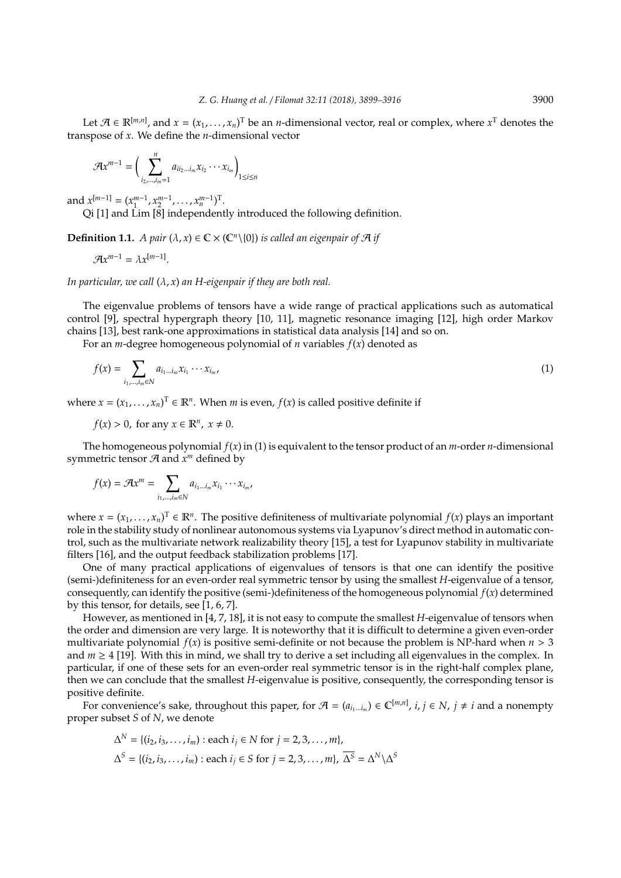Let  $\mathcal{A} \in \mathbb{R}^{[m,n]}$ , and  $x = (x_1, \ldots, x_n)^T$  be an *n*-dimensional vector, real or complex, where  $x^T$  denotes the transpose of *x*. We define the *n*-dimensional vector

$$
\mathcal{A}x^{m-1}=\bigg(\sum_{i_2,\ldots,i_m=1}^n a_{ii_2\ldots i_m}x_{i_2}\cdots x_{i_m}\bigg)_{1\leq i\leq n}
$$

and  $x^{[m-1]} = (x_1^{m-1}, x_2^{m-1}, \dots, x_n^{m-1})^T$ .

Qi [1] and Lim [8] independently introduced the following definition.

**Definition 1.1.** *A pair*  $(\lambda, x) \in \mathbb{C} \times (\mathbb{C}^n \setminus \{0\})$  *is called an eigenpair of*  $\mathcal A$  *if* 

 $\mathcal{A}x^{m-1} = \lambda x^{[m-1]}.$ 

*In particular, we call* (λ, *x*) *an H-eigenpair if they are both real.*

The eigenvalue problems of tensors have a wide range of practical applications such as automatical control [9], spectral hypergraph theory [10, 11], magnetic resonance imaging [12], high order Markov chains [13], best rank-one approximations in statistical data analysis [14] and so on.

For an *m*-degree homogeneous polynomial of *n* variables *f*(*x*) denoted as

$$
f(x) = \sum_{i_1, \dots, i_m \in N} a_{i_1 \dots i_m} x_{i_1} \cdots x_{i_m},
$$
 (1)

where  $x = (x_1, \dots, x_n)^\text{T} \in \mathbb{R}^n$ . When *m* is even,  $f(x)$  is called positive definite if

 $f(x) > 0$ , for any  $x \in \mathbb{R}^n$ ,  $x \neq 0$ .

The homogeneous polynomial *f*(*x*) in (1) is equivalent to the tensor product of an *m*-order *n*-dimensional symmetric tensor  $\mathcal A$  and  $x^m$  defined by

$$
f(x) = \mathcal{A}x^m = \sum_{i_1,\dots,i_m \in \mathbb{N}} a_{i_1\dots i_m} x_{i_1} \cdots x_{i_m},
$$

where  $x = (x_1, \ldots, x_n)$ <sup>T</sup>  $\in \mathbb{R}^n$ . The positive definiteness of multivariate polynomial  $f(x)$  plays an important role in the stability study of nonlinear autonomous systems via Lyapunov's direct method in automatic control, such as the multivariate network realizability theory [15], a test for Lyapunov stability in multivariate filters [16], and the output feedback stabilization problems [17].

One of many practical applications of eigenvalues of tensors is that one can identify the positive (semi-)definiteness for an even-order real symmetric tensor by using the smallest *H*-eigenvalue of a tensor, consequently, can identify the positive (semi-)definiteness of the homogeneous polynomial *f*(*x*) determined by this tensor, for details, see [1, 6, 7].

However, as mentioned in [4, 7, 18], it is not easy to compute the smallest *H*-eigenvalue of tensors when the order and dimension are very large. It is noteworthy that it is difficult to determine a given even-order multivariate polynomial  $f(x)$  is positive semi-definite or not because the problem is NP-hard when  $n > 3$ and  $m \geq 4$  [19]. With this in mind, we shall try to derive a set including all eigenvalues in the complex. In particular, if one of these sets for an even-order real symmetric tensor is in the right-half complex plane, then we can conclude that the smallest *H*-eigenvalue is positive, consequently, the corresponding tensor is positive definite.

For convenience's sake, throughout this paper, for  $\mathcal{A} = (a_{i_1...i_m}) \in \mathbb{C}^{[m,n]}$ ,  $i, j \in N$ ,  $j \neq i$  and a nonempty proper subset *S* of *N*, we denote

$$
\Delta^N = \{(i_2, i_3, \dots, i_m) : \text{each } i_j \in N \text{ for } j = 2, 3, \dots, m\},\
$$

$$
\Delta^S = \{(i_2, i_3, \dots, i_m) : \text{each } i_j \in S \text{ for } j = 2, 3, \dots, m\}, \overline{\Delta^S} = \Delta^N \setminus \Delta^S
$$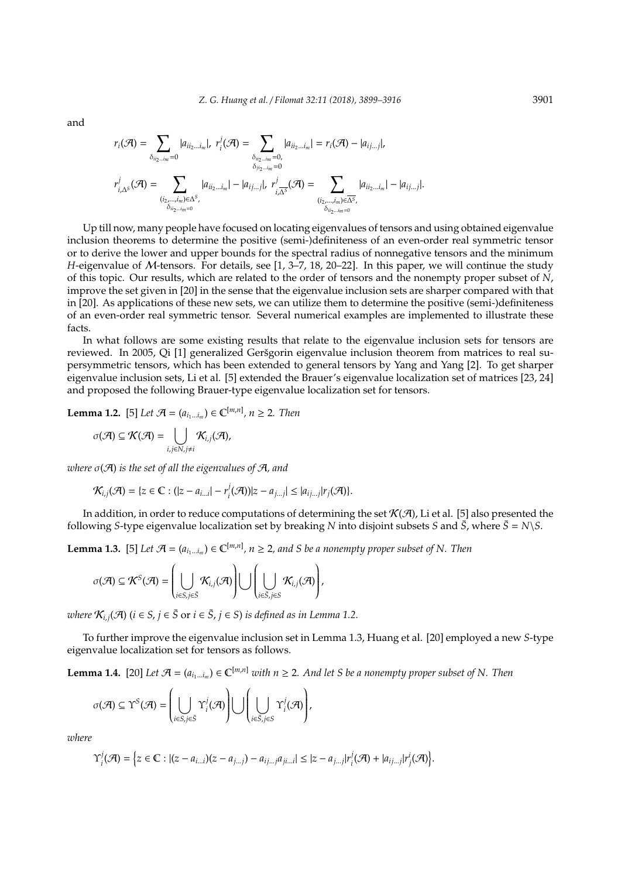and

$$
r_i(\mathcal{A}) = \sum_{\delta_{ii_2\ldots i_m}=0} |a_{ii_2\ldots i_m}|, r_i^j(\mathcal{A}) = \sum_{\substack{\delta_{ii_2\ldots i_m}=0,\\ \delta_{ii_2\ldots i_m}=0}} |a_{ii_2\ldots i_m}| = r_i(\mathcal{A}) - |a_{i j\ldots j}|,
$$
  

$$
r_{i,\Delta^S}^j(\mathcal{A}) = \sum_{\substack{(i_2,\ldots,i_m)\in\Delta^S,\\ \delta_{ii_2\ldots i_m}=0}} |a_{ii_2\ldots i_m}| - |a_{i j\ldots j}|, r_{i,\Delta^S}^j(\mathcal{A}) = \sum_{\substack{(i_2,\ldots,i_m)\in\Delta^S,\\ \delta_{ii_2\ldots i_m}=0}} |a_{i i_2\ldots i_m}| - |a_{i j\ldots j}|.
$$

Up till now, many people have focused on locating eigenvalues of tensors and using obtained eigenvalue inclusion theorems to determine the positive (semi-)definiteness of an even-order real symmetric tensor or to derive the lower and upper bounds for the spectral radius of nonnegative tensors and the minimum *H*-eigenvalue of M-tensors. For details, see [1, 3–7, 18, 20–22]. In this paper, we will continue the study of this topic. Our results, which are related to the order of tensors and the nonempty proper subset of *N*, improve the set given in [20] in the sense that the eigenvalue inclusion sets are sharper compared with that in [20]. As applications of these new sets, we can utilize them to determine the positive (semi-)definiteness of an even-order real symmetric tensor. Several numerical examples are implemented to illustrate these facts.

In what follows are some existing results that relate to the eigenvalue inclusion sets for tensors are reviewed. In 2005, Qi [1] generalized Geršgorin eigenvalue inclusion theorem from matrices to real supersymmetric tensors, which has been extended to general tensors by Yang and Yang [2]. To get sharper eigenvalue inclusion sets, Li et al. [5] extended the Brauer's eigenvalue localization set of matrices [23, 24] and proposed the following Brauer-type eigenvalue localization set for tensors.

**Lemma 1.2.** [5] *Let*  $\mathcal{A} = (a_{i_1...i_m}) \in \mathbb{C}^{[m,n]}$ ,  $n \ge 2$ *. Then* 

$$
\sigma(\mathcal{A})\subseteq\mathcal{K}(\mathcal{A})=\bigcup_{i,j\in N,j\neq i}\mathcal{K}_{i,j}(\mathcal{A}),
$$

*where* σ(A) *is the set of all the eigenvalues of* A*, and*

$$
\mathcal{K}_{i,j}(\mathcal{A}) = \{z \in \mathbb{C} : (|z - a_{i...i}| - r_i^j(\mathcal{A})) | z - a_{j...j}| \leq |a_{ij...j}| r_j(\mathcal{A})\}.
$$

In addition, in order to reduce computations of determining the set  $K(\mathcal{A})$ , Li et al. [5] also presented the following *S*-type eigenvalue localization set by breaking *N* into disjoint subsets *S* and  $\bar{S}$ , where  $\bar{S} = N \ S$ .

**Lemma 1.3.** [5] Let  $\mathcal{A} = (a_{i_1...i_m}) \in \mathbb{C}^{[m,n]}$ ,  $n \geq 2$ , and S be a nonempty proper subset of N. Then

$$
\sigma(\mathcal{A}) \subseteq \mathcal{K}^S(\mathcal{A}) = \left(\bigcup_{i \in S, j \in \bar{S}} \mathcal{K}_{i,j}(\mathcal{A})\right) \bigcup \left(\bigcup_{i \in \bar{S}, j \in S} \mathcal{K}_{i,j}(\mathcal{A})\right),
$$

*where*  $\mathcal{K}_{i,j}(\mathcal{A})$  ( $i \in S$ ,  $j \in \overline{S}$  or  $i \in \overline{S}$ ,  $j \in S$ ) *is defined as in Lemma 1.2.* 

To further improve the eigenvalue inclusion set in Lemma 1.3, Huang et al. [20] employed a new *S*-type eigenvalue localization set for tensors as follows.

**Lemma 1.4.** [20] Let  $\mathcal{A} = (a_{i_1...i_m}) \in \mathbb{C}^{[m,n]}$  *with*  $n \geq 2$ . And let S be a nonempty proper subset of N. Then

$$
\sigma(\mathcal{A}) \subseteq \Upsilon^S(\mathcal{A}) = \left(\bigcup_{i \in S, j \in \bar{S}} \Upsilon^j_i(\mathcal{A})\right) \bigcup \left(\bigcup_{i \in \bar{S}, j \in S} \Upsilon^j_i(\mathcal{A})\right),
$$

*where*

$$
\Upsilon_i^j(\mathcal{A}) = \Big\{ z \in \mathbb{C} : |(z - a_{i...i})(z - a_{j...j}) - a_{ij...j}a_{ji...i}| \leq |z - a_{j...j}|r_i^j(\mathcal{A}) + |a_{ij...j}|r_j^i(\mathcal{A}) \Big\}.
$$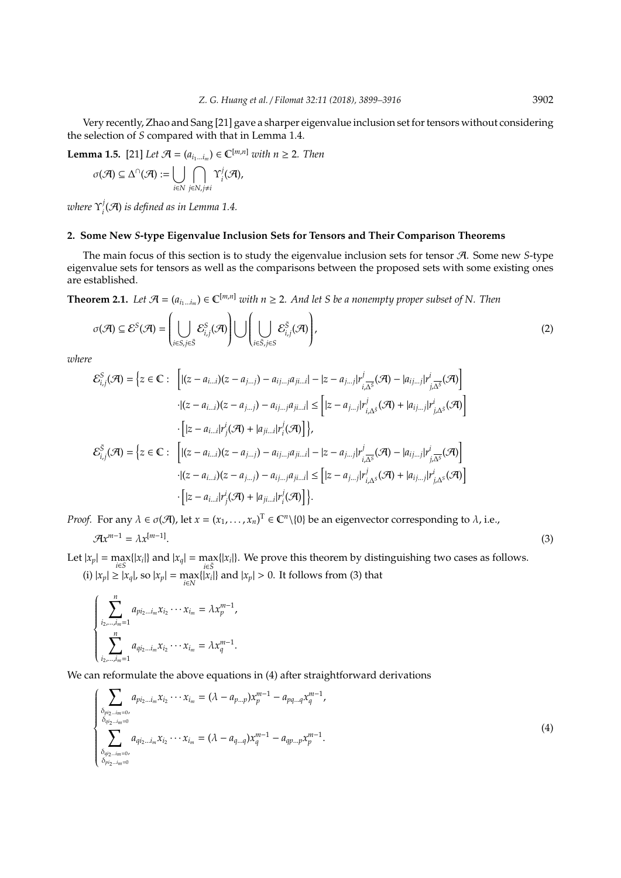Very recently, Zhao and Sang [21] gave a sharper eigenvalue inclusion set for tensors without considering the selection of *S* compared with that in Lemma 1.4.

**Lemma 1.5.** [21] *Let*  $\mathcal{A} = (a_{i_1...i_m}) \in \mathbb{C}^{[m,n]}$  *with*  $n \geq 2$ *. Then* 

$$
\sigma(\mathcal{A}) \subseteq \Delta^{\cap}(\mathcal{A}) := \bigcup_{i \in N} \bigcap_{j \in N, j \neq i} \Upsilon_i^j(\mathcal{A}),
$$

*where* Υ *j*  $\mathcal{A}_i^j(\mathcal{A})$  is defined as in Lemma 1.4.

#### **2. Some New** *S***-type Eigenvalue Inclusion Sets for Tensors and Their Comparison Theorems**

The main focus of this section is to study the eigenvalue inclusion sets for tensor A. Some new *S*-type eigenvalue sets for tensors as well as the comparisons between the proposed sets with some existing ones are established.

**Theorem 2.1.** *Let*  $\mathcal{A} = (a_{i_1...i_m}) \in \mathbb{C}^{[m,n]}$  *with*  $n \geq 2$ . And let S be a nonempty proper subset of N. Then

$$
\sigma(\mathcal{A}) \subseteq \mathcal{E}^S(\mathcal{A}) = \left(\bigcup_{i \in S, j \in \bar{S}} \mathcal{E}_{i,j}^S(\mathcal{A})\right) \bigcup \left(\bigcup_{i \in \bar{S}, j \in S} \mathcal{E}_{i,j}^{\bar{S}}(\mathcal{A})\right),\tag{2}
$$

*where*

$$
\mathcal{E}_{i,j}^{S}(\mathcal{A}) = \left\{ z \in \mathbb{C} : \left[ |(z - a_{i\ldots i})(z - a_{j\ldots j}) - a_{ij\ldots j}a_{ji\ldots i}| - |z - a_{j\ldots j}|r_{i\overline{\Delta^{S}}}^{j}(\mathcal{A}) - |a_{ij\ldots j}|r_{j\overline{\Delta^{S}}}^{i}(\mathcal{A}) \right] \right\}
$$

$$
\cdot |(z - a_{i\ldots i})(z - a_{j\ldots j}) - a_{ij\ldots j}a_{ji\ldots i}| \leq \left[ |z - a_{j\ldots j}|r_{i\Delta^{S}}^{j}(\mathcal{A}) + |a_{ij\ldots j}|r_{j\Delta^{S}}^{i}(\mathcal{A}) \right]
$$

$$
\cdot \left[ |z - a_{i\ldots i}|r_{j}^{i}(\mathcal{A}) + |a_{ji\ldots i}|r_{i}^{j}(\mathcal{A}) \right] \right\},
$$

$$
\mathcal{E}_{i,j}^{S}(\mathcal{A}) = \left\{ z \in \mathbb{C} : \left[ |(z - a_{i\ldots i})(z - a_{j\ldots j}) - a_{ij\ldots j}a_{ji\ldots i}| - |z - a_{j\ldots j}|r_{i\overline{\Delta^{S}}}^{j}(\mathcal{A}) - |a_{ij\ldots j}|r_{j\overline{\Delta^{S}}}^{i}(\mathcal{A}) \right] \right\}.
$$

$$
\cdot |(z - a_{i\ldots i})(z - a_{j\ldots j}) - a_{ij\ldots j}a_{ji\ldots i}| \leq \left[ |z - a_{j\ldots j}|r_{i\Delta^{S}}^{j}(\mathcal{A}) + |a_{ij\ldots j}|r_{j\Delta^{S}}^{i}(\mathcal{A}) \right] \right\}.
$$

*Proof.* For any  $\lambda \in \sigma(\mathcal{A})$ , let  $x = (x_1, \dots, x_n)^T \in \mathbb{C}^n \setminus \{0\}$  be an eigenvector corresponding to  $\lambda$ , i.e.,

$$
\mathcal{A}x^{m-1} = \lambda x^{[m-1]}.
$$
\n(3)

 $\sqrt{ }$ 

 $\begin{array}{c} \hline \end{array}$ 

 $\begin{array}{c} \hline \end{array}$ 

Let  $|x_p| = \max_{i \in S} \{|x_i|\}$  and  $|x_q| = \max_{i \in \overline{S}} \{|x_i|\}$ . We prove this theorem by distinguishing two cases as follows. (i)  $|x_p| \ge |x_q|$ , so  $|x_p| = \max_{i \in N} \{ |x_i| \}$  and  $|x_p| > 0$ . It follows from (3) that

$$
\left\{\sum_{i_2,\dots,i_m=1}^n a_{pi_2\dots i_m}x_{i_2}\cdots x_{i_m} = \lambda x_p^{m-1},\right.\newline\sum_{i_2,\dots,i_m=1}^n a_{qi_2\dots i_m}x_{i_2}\cdots x_{i_m} = \lambda x_q^{m-1}.
$$

We can reformulate the above equations in (4) after straightforward derivations

$$
\sum_{\substack{\delta_{pi_2\ldots i_m=0},\\ \delta_{q_{i_2\ldots i_m=0}}} a_{pi_2\ldots i_m} x_{i_2} \cdots x_{i_m} = (\lambda - a_{p\ldots p}) x_p^{m-1} - a_{pq\ldots q} x_q^{m-1},
$$
\n
$$
\sum_{\substack{\delta_{q_{i_2\ldots i_m=0},\\ \delta_{pi_2\ldots i_m=0}}} a_{qi_2\ldots i_m} x_{i_2} \cdots x_{i_m} = (\lambda - a_{q\ldots q}) x_q^{m-1} - a_{qp\ldots p} x_p^{m-1}.
$$
\n(4)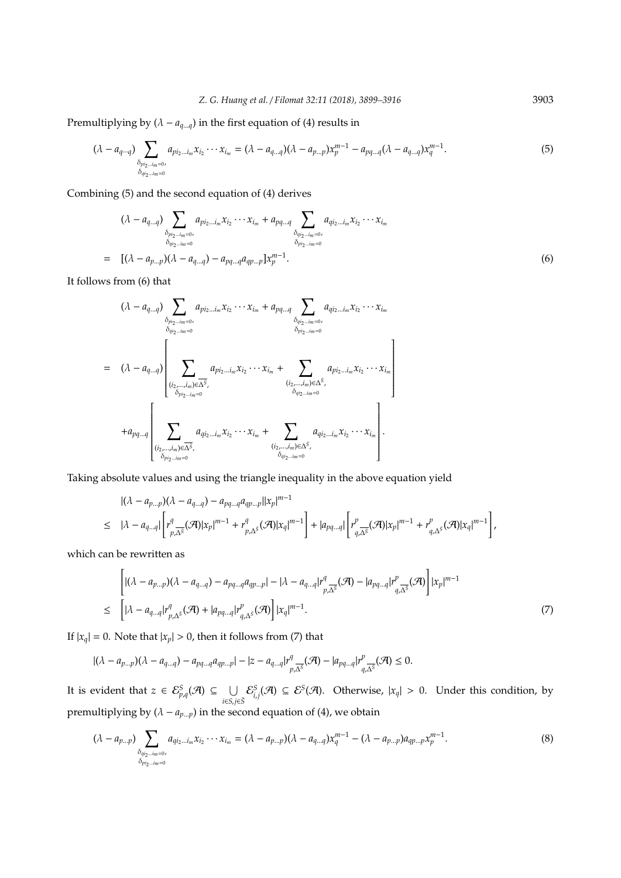Premultiplying by  $(\lambda - a_{q...q})$  in the first equation of (4) results in

$$
(\lambda - a_{q \cdots q}) \sum_{\substack{\delta_{p i_2 \cdots i_m = 0, \\ \delta_{q i_2 \cdots i_m = 0}}} a_{p i_2 \cdots i_m} x_{i_2} \cdots x_{i_m} = (\lambda - a_{q \cdots q})(\lambda - a_{p \cdots p}) x_p^{m-1} - a_{pq \cdots q} (\lambda - a_{q \cdots q}) x_q^{m-1}.
$$
\n
$$
(5)
$$

Combining (5) and the second equation of (4) derives

$$
(\lambda - a_{q...q}) \sum_{\substack{\delta_{pi_2...im=0}, \\ \delta_{qi_2...im=0}}} a_{pi_2...im} x_{i_2} \cdots x_{i_m} + a_{pq...q} \sum_{\substack{\delta_{qi_2...im=0}, \\ \delta_{pi_2...im=0}}} a_{qi_2...im} x_{i_2} \cdots x_{i_m}
$$
  
= 
$$
[(\lambda - a_{p...p})(\lambda - a_{q...q}) - a_{pq...q} a_{qp...p}] x_p^{m-1}.
$$
 (6)

It follows from (6) that

$$
(\lambda - a_{q...q}) \sum_{\substack{\delta_{pi_2...im} = 0, \\ \delta_{qi_2...im} = 0}} a_{pi_2...im} x_{i_2} \cdots x_{i_m} + a_{pq...q} \sum_{\substack{\delta_{qi_2...im} = 0, \\ \delta_{pi_2...im} = 0}} a_{qi_2...i_m} x_{i_2} \cdots x_{i_m}
$$
  
\n
$$
= (\lambda - a_{q...q}) \left[ \sum_{\substack{(i_2,...,i_m) \in \overline{\Delta^S}, \\ \delta_{pi_2...im} = 0}} a_{pi_2...i_m} x_{i_2} \cdots x_{i_m} + \sum_{\substack{(i_2,...,i_m) \in \Delta^S, \\ \delta_{qi_2...im} = 0}} a_{pi_2...i_m} x_{i_2} \cdots x_{i_m} \right]
$$
  
\n
$$
+ a_{pq...q} \left[ \sum_{\substack{(i_2,...,i_m) \in \overline{\Delta^S}, \\ (\delta_{pi_2...im} = 0)}} a_{qi_2...i_m} x_{i_2} \cdots x_{i_m} + \sum_{\substack{(i_2,...,i_m) \in \Delta^S, \\ \delta_{qi_2...im} = 0}} a_{qi_2...i_m} x_{i_2} \cdots x_{i_m} \right].
$$

Taking absolute values and using the triangle inequality in the above equation yield

$$
|(\lambda - a_{p\ldots p})(\lambda - a_{q\ldots q}) - a_{pq\ldots q}a_{qp\ldots p}||x_p|^{m-1}
$$
  
\n
$$
\leq |\lambda - a_{q\ldots q}| \left[ r^q_{p,\Delta^S}(\mathcal{A})|x_p|^{m-1} + r^q_{p,\Delta^S}(\mathcal{A})|x_q|^{m-1} \right] + |a_{pq\ldots q}| \left[ r^p_{q,\Delta^S}(\mathcal{A})|x_p|^{m-1} + r^p_{q,\Delta^S}(\mathcal{A})|x_q|^{m-1} \right],
$$

which can be rewritten as .<br>"

$$
\left[ |(\lambda - a_{p\ldots p})(\lambda - a_{q\ldots q}) - a_{pq\ldots q}a_{qp\ldots p}| - |\lambda - a_{q\ldots q}|r_{p,\Delta^{\bar{s}}}^q(\mathcal{A}) - |a_{pq\ldots q}|r_{q,\Delta^{\bar{s}}}^p(\mathcal{A}) \right] |x_p|^{m-1}
$$
  
\n
$$
\leq \left[ |\lambda - a_{q\ldots q}|r_{p,\Delta^{\bar{s}}}^q(\mathcal{A}) + |a_{pq\ldots q}|r_{q,\Delta^{\bar{s}}}^p(\mathcal{A}) \right] |x_q|^{m-1}.
$$
\n(7)

#

If  $|x_q| = 0$ . Note that  $|x_p| > 0$ , then it follows from (7) that

$$
|(\lambda - a_{p\ldots p})(\lambda - a_{q\ldots q}) - a_{pq\ldots q}a_{qp\ldots p}| - |z - a_{q\ldots q}|r_{p,\Delta^{\overline{s}}}^q(\mathcal{A}) - |a_{pq\ldots q}|r_{q,\Delta^{\overline{s}}}^p(\mathcal{A}) \leq 0.
$$

It is evident that  $z \in \mathcal{E}_{p,q}^S(\mathcal{A}) \subseteq \cup$ *i*∈*S*,*j*∈*S*¯  $\mathcal{E}^S_{i,j}(\mathcal{A}) \subseteq \mathcal{E}^S(\mathcal{A})$ . Otherwise,  $|x_q| > 0$ . Under this condition, by premultiplying by  $(\lambda - a_{p\ldots p})$  in the second equation of (4), we obtain

$$
(\lambda - a_{p\ldots p}) \sum_{\substack{\delta_{q i_2\ldots i_m=0}\\ \delta_{p i_2\ldots i_m=0}}} a_{q i_2\ldots i_m} x_{i_2}\cdots x_{i_m} = (\lambda - a_{p\ldots p})(\lambda - a_{q\ldots q}) x_q^{m-1} - (\lambda - a_{p\ldots p}) a_{q p\ldots p} x_p^{m-1}.
$$
\n(8)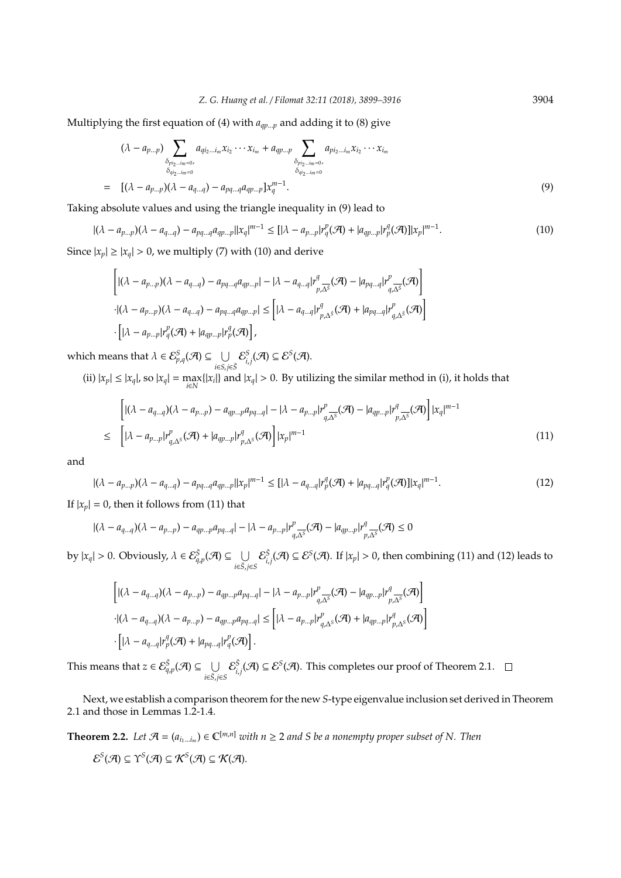Multiplying the first equation of (4) with *aqp*...*<sup>p</sup>* and adding it to (8) give

$$
(\lambda - a_{p...p}) \sum_{\substack{\delta_{pi_2...im=0}, \\ \delta_{qi_2...im=0}}} a_{qi_2...im} x_{i_2} \cdots x_{i_m} + a_{qp...p} \sum_{\substack{\delta_{pi_2...im=0}, \\ \delta_{qi_2...im=0}}} a_{pi_2...im} x_{i_2} \cdots x_{i_m}
$$
  
= 
$$
[(\lambda - a_{p...p})(\lambda - a_{q...q}) - a_{pq...q} a_{qp...p}] x_q^{m-1}.
$$
 (9)

Taking absolute values and using the triangle inequality in (9) lead to

$$
|(\lambda - a_{p\ldots p})(\lambda - a_{q\ldots q}) - a_{pq\ldots q}a_{qp\ldots p}||x_q|^{m-1} \leq [|\lambda - a_{p\ldots p}|r_q^p(\mathcal{A}) + |a_{qp\ldots p}|r_p^q(\mathcal{A})] |x_p|^{m-1}.
$$
\n(10)

Since  $|x_p| \ge |x_q| > 0$ , we multiply (7) with (10) and derive

$$
\begin{aligned} &\left[ |(\lambda-a_{p..p})(\lambda-a_{q..q})-a_{pq..q}a_{qp..p}| - |\lambda-a_{q..q}|r_{p,\Delta^{\bar{s}}}^q(\mathcal{A})-|a_{pq..q}|r_{q,\Delta^{\bar{s}}}^p(\mathcal{A})\right] \\ &\cdot |(\lambda-a_{p..p})(\lambda-a_{q..q})-a_{pq..q}a_{qp..p}| \leq \left[ |\lambda-a_{q..q}|r_{p,\Delta^{\bar{s}}}^q(\mathcal{A})+|a_{pq..q}|r_{q,\Delta^{\bar{s}}}^p(\mathcal{A})\right] \\ &\cdot \left[ |\lambda-a_{p..p}|r_q^p(\mathcal{A})+|a_{qp..p}|r_p^q(\mathcal{A})\right], \end{aligned}
$$

which means that  $\lambda \in \mathcal{E}_{p,q}^S(\mathcal{A}) \subseteq \cup$ *i*∈*S*,*j*∈*S*¯  $\mathcal{E}^{S}_{i,j}(\mathcal{A}) \subseteq \mathcal{E}^{S}(\mathcal{A}).$ 

(ii)  $|x_p| \le |x_q|$ , so  $|x_q| = \max_{i \in \mathbb{N}} \{|x_i|\}$  and  $|x_q| > 0$ . By utilizing the similar method in (i), it holds that

$$
\begin{aligned}\n\left[ |(\lambda - a_{q\ldots q})(\lambda - a_{p\ldots p}) - a_{qp\ldots p}a_{pq\ldots q}| - |\lambda - a_{p\ldots p}|r^p_{q,\Delta^S}(\mathcal{A}) - |a_{qp\ldots p}|r^q_{p,\Delta^S}(\mathcal{A}) \right] |x_q|^{m-1} \\
\leq \left[ |\lambda - a_{p\ldots p}|r^p_{q,\Delta^S}(\mathcal{A}) + |a_{qp\ldots p}|r^q_{p,\Delta^S}(\mathcal{A}) \right] |x_p|^{m-1}\n\end{aligned}
$$
\n(11)

and

$$
|(\lambda - a_{p...p})(\lambda - a_{q...q}) - a_{pq...q}a_{qp...p}||x_p|^{m-1} \leq [|\lambda - a_{q...q}|r_p^q(\mathcal{A}) + |a_{pq...q}|r_q^p(\mathcal{A})] |x_q|^{m-1}.
$$
 (12)

If  $|x_p| = 0$ , then it follows from (11) that

$$
|(\lambda - a_{q\ldots q})(\lambda - a_{p\ldots p}) - a_{qp\ldots p}a_{pq\ldots q}| - |\lambda - a_{p\ldots p}|r_{q,\Delta^S}^p(\mathcal{A}) - |a_{qp\ldots p}|r_{p,\Delta^S}^q(\mathcal{A}) \le 0
$$

by  $|x_q| > 0$ . Obviously,  $\lambda \in \mathcal{E}_{q,p}^{\bar{S}}(\mathcal{A}) \subseteq \cup$ *i*∈*S*¯,*j*∈*S*  $\mathcal{E}_{i,j}^{\bar{S}}(\mathcal{A}) \subseteq \mathcal{E}^{S}(\mathcal{A})$ . If  $|x_p| > 0$ , then combining (11) and (12) leads to

$$
\left[ |(\lambda - a_{q\ldots q})(\lambda - a_{p\ldots p}) - a_{qp\ldots p}a_{pq\ldots q}| - |\lambda - a_{p\ldots p}|r_{q,\Delta^S}^p(\mathcal{A}) - |a_{qp\ldots p}|r_{p,\Delta^S}^q(\mathcal{A}) \right]
$$
  
 
$$
\cdot |(\lambda - a_{q\ldots q})(\lambda - a_{p\ldots p}) - a_{qp\ldots p}a_{pq\ldots q}| \leq |(\lambda - a_{p\ldots p})r_{q,\Delta^S}^p(\mathcal{A}) + |a_{qp\ldots p}|r_{p,\Delta^S}^q(\mathcal{A})|
$$
  
 
$$
\cdot [|\lambda - a_{q\ldots q}|r_p^q(\mathcal{A}) + |a_{pq\ldots q}|r_q^p(\mathcal{A})].
$$

This means that  $z \in \mathcal{E}^{\bar{S}}_{q,p}(\mathcal{A}) \subseteq \cup$ *i*∈*S*¯,*j*∈*S*  $\mathcal{E}_{i,j}^{\bar{S}}(\mathcal{A})\subseteq\mathcal{E}^{S}(\mathcal{A})$ . This completes our proof of Theorem 2.1.

Next, we establish a comparison theorem for the new *S*-type eigenvalue inclusion set derived in Theorem 2.1 and those in Lemmas 1.2-1.4.

**Theorem 2.2.** *Let*  $\mathcal{A} = (a_{i_1...i_m}) \in \mathbb{C}^{[m,n]}$  *with*  $n \geq 2$  *and S be a nonempty proper subset of N. Then*  $\mathcal{E}^{\mathcal{S}}(\mathcal{A}) \subseteq \Upsilon^{\mathcal{S}}(\mathcal{A}) \subseteq \mathcal{K}^{\mathcal{S}}(\mathcal{A}) \subseteq \mathcal{K}(\mathcal{A}).$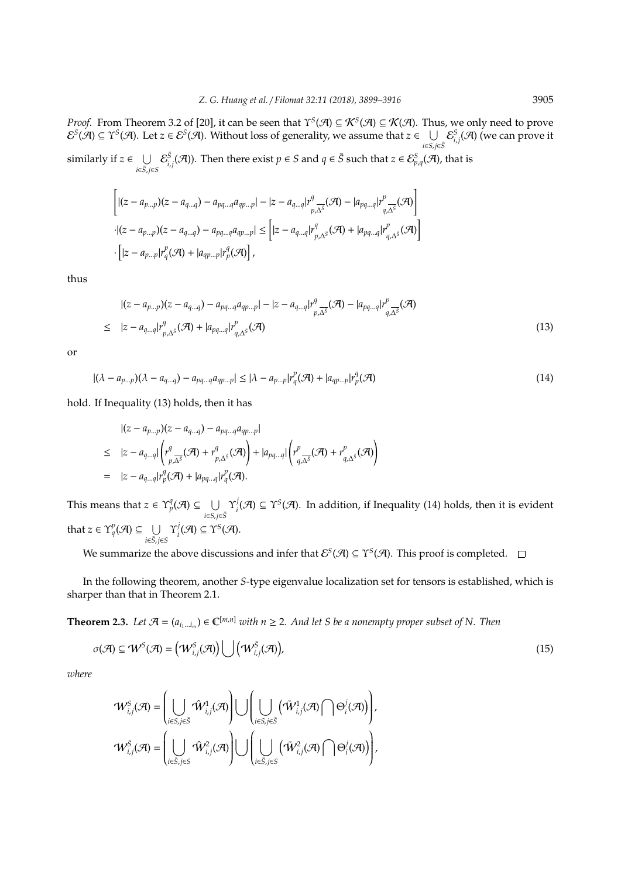*Proof.* From Theorem 3.2 of [20], it can be seen that  $\Upsilon^S(\mathcal{A}) \subseteq \mathcal{K}^S(\mathcal{A}) \subseteq \mathcal{K}(\mathcal{A})$ . Thus, we only need to prove  $\mathcal{E}^S(\mathcal{A}) \subseteq \Upsilon^S(\mathcal{A})$ . Let  $z \in \mathcal{E}^S(\mathcal{A})$ . Without loss of generality, we assume that  $z \in \bigcup_{z \in \mathcal{A}} \mathcal{E}^S_{i,j}(\mathcal{A})$  (we can prove it *i*∈*S*,*j*∈*S*¯

similarly if  $z \in \bigcup$ *i*∈*S*¯,*j*∈*S*  $\mathcal{E}_{i,j}^{\bar{S}}(\mathcal{A})$ ). Then there exist  $p \in S$  and  $q \in \bar{S}$  such that  $z \in \mathcal{E}_{p,q}^{S}(\mathcal{A})$ , that is

$$
\left[ |(z - a_{p...p})(z - a_{q...q}) - a_{pq...q} a_{qp...p}| - |z - a_{q...q}| r^q_{p,\Delta^S}(\mathcal{A}) - |a_{pq...q}| r^p_{q,\Delta^S}(\mathcal{A}) \right]
$$
  
 
$$
\cdot |(z - a_{p...p})(z - a_{q...q}) - a_{pq...q} a_{qp...p}| \leq [ |z - a_{q...q}| r^q_{p,\Delta^S}(\mathcal{A}) + |a_{pq...q}| r^p_{q,\Delta^S}(\mathcal{A}) ]
$$
  
 
$$
\cdot [ |z - a_{p...p}| r^p_q(\mathcal{A}) + |a_{qp...p}| r^q_p(\mathcal{A}) ],
$$

thus

$$
|(z - a_{p\ldots p})(z - a_{q\ldots q}) - a_{pq\ldots q}a_{qp\ldots p}| - |z - a_{q\ldots q}|r_{p,\Delta^S}^q(\mathcal{A}) - |a_{pq\ldots q}|r_{q,\Delta^S}^p(\mathcal{A})
$$
  
\n
$$
\leq |z - a_{q\ldots q}|r_{p,\Delta^S}^q(\mathcal{A}) + |a_{pq\ldots q}|r_{q,\Delta^S}^p(\mathcal{A})
$$
\n(13)

or

$$
|(\lambda - a_{p\ldots p})(\lambda - a_{q\ldots q}) - a_{pq\ldots q}a_{qp\ldots p}| \leq |\lambda - a_{p\ldots p}|r_q^p(\mathcal{A}) + |a_{qp\ldots p}|r_p^q(\mathcal{A})
$$
\n(14)

hold. If Inequality (13) holds, then it has

$$
\begin{aligned}\n &|\left(z-a_{p\ldots p}\right)(z-a_{q\ldots q})-a_{pq\ldots q}a_{qp\ldots p}|\n \leq &|z-a_{q\ldots q}|\left(r^q_{p\ldots\delta}(\mathcal{A})+r^q_{p\ldots\delta}(\mathcal{A})\right)+|a_{pq\ldots q}|\left(r^p_{q\ldots\delta}(\mathcal{A})+r^p_{q\ldots\delta}(\mathcal{A})\right) \\
 &= &|z-a_{q\ldots q}|r^q_p(\mathcal{A})+|a_{pq\ldots q}|r^p_q(\mathcal{A}).\n \end{aligned}
$$

This means that  $z \in \Upsilon_p^q(\mathcal{A}) \subseteq \cup$ *i*∈*S*,*j*∈*S*¯  $\Upsilon_i^j$  $A_i^j(\mathcal{A}) \subseteq \Upsilon^S(\mathcal{A})$ . In addition, if Inequality (14) holds, then it is evident that  $z \in \Upsilon_q^p(\mathcal{A}) \subseteq \cup$ *i*∈*S*¯,*j*∈*S*  $\Upsilon^j_i$  $i^{j}(\mathcal{A}) \subseteq \Upsilon^{S}(\mathcal{A}).$ 

We summarize the above discussions and infer that  $\mathcal{E}^S(\mathcal{A}) \subseteq \Upsilon^S(\mathcal{A})$ . This proof is completed.

In the following theorem, another *S*-type eigenvalue localization set for tensors is established, which is sharper than that in Theorem 2.1.

**Theorem 2.3.** *Let*  $\mathcal{A} = (a_{i_1...i_m}) \in \mathbb{C}^{[m,n]}$  *with*  $n \geq 2$ . And let S be a nonempty proper subset of N. Then

$$
\sigma(\mathcal{A}) \subseteq \mathcal{W}^S(\mathcal{A}) = (\mathcal{W}_{i,j}^S(\mathcal{A})) \bigcup (\mathcal{W}_{i,j}^S(\mathcal{A})),
$$
\n(15)

*where*

$$
\label{eq:W} \begin{split} &\mathcal{W}_{i,j}^S(\mathcal{A}) = \left(\bigcup_{i \in S, j \in \bar{S}} \hat{\mathcal{W}}_{i,j}^1(\mathcal{A})\right) \bigcup \left(\bigcup_{i \in S, j \in \bar{S}} \left(\tilde{\mathcal{W}}_{i,j}^1(\mathcal{A}) \bigcap \Theta_i^j(\mathcal{A})\right)\right),\\ &\mathcal{W}_{i,j}^S(\mathcal{A}) = \left(\bigcup_{i \in \bar{S}, j \in S} \hat{\mathcal{W}}_{i,j}^2(\mathcal{A})\right) \bigcup \left(\bigcup_{i \in \bar{S}, j \in S} \left(\tilde{\mathcal{W}}_{i,j}^2(\mathcal{A}) \bigcap \Theta_i^j(\mathcal{A})\right)\right), \end{split}
$$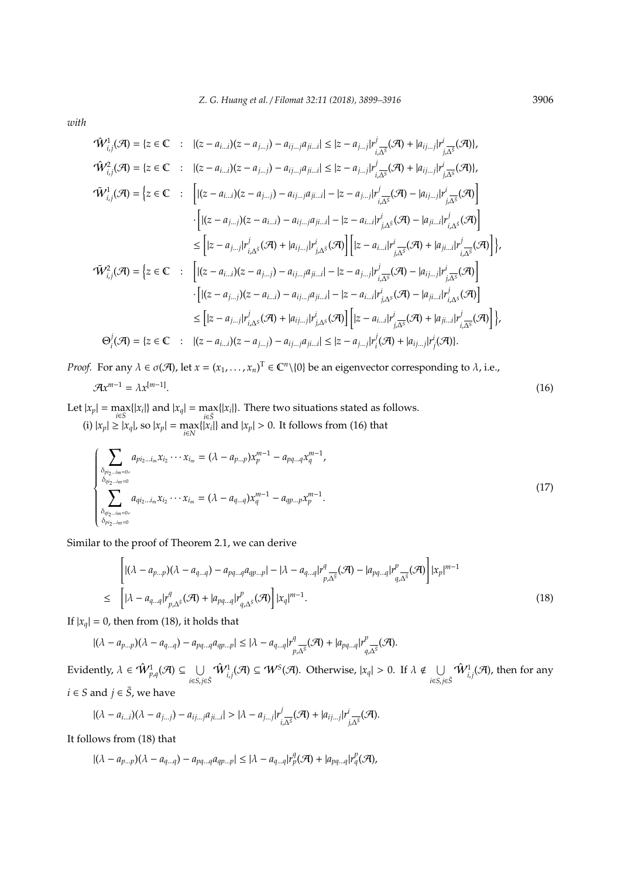*with*

$$
\hat{W}_{i,j}^{1}(\mathcal{A}) = \{z \in \mathbb{C} : |(z - a_{i...i})(z - a_{j...j}) - a_{ij...i}a_{ji...i}| \leq |z - a_{j...j}|r_{i,\overline{\Delta^{5}}}^{j}(\mathcal{A}) + |a_{ij...j}|r_{j,\overline{\Delta^{5}}}^{i}(\mathcal{A})\},
$$
\n
$$
\hat{W}_{i,j}^{2}(\mathcal{A}) = \{z \in \mathbb{C} : |(z - a_{i...i})(z - a_{j...j}) - a_{ij...i}a_{ji...i}| \leq |z - a_{j...j}|r_{i,\overline{\Delta^{5}}}^{j}(\mathcal{A}) + |a_{ij...j}|r_{j,\overline{\Delta^{5}}}^{i}(\mathcal{A})\},
$$
\n
$$
\hat{W}_{i,j}^{1}(\mathcal{A}) = \{z \in \mathbb{C} : |[(z - a_{i...i})(z - a_{j...j}) - a_{ij...j}a_{ji...i}] - |z - a_{j...j}|r_{i,\overline{\Delta^{5}}}^{j}(\mathcal{A}) - |a_{ij...j}|r_{j,\overline{\Delta^{5}}}^{i}(\mathcal{A})\}]
$$
\n
$$
\cdot \left[ |(z - a_{j...j})(z - a_{i...i}) - a_{ij...j}a_{ji...i}| - |z - a_{i...i}|r_{j,\Delta^{5}}^{i}(\mathcal{A}) - |a_{ji...j}|r_{i,\Delta^{5}}^{i}(\mathcal{A})\right]
$$
\n
$$
\leq |z - a_{j...j}|r_{i,\Delta^{5}}^{j}(\mathcal{A}) + |a_{ij...j}|r_{j,\Delta^{5}}^{j}(\mathcal{A})\right] \left[ |z - a_{i...i}|r_{j,\Delta^{5}}^{j}(\mathcal{A}) + |a_{ji...i}|r_{i,\Delta^{5}}^{j}(\mathcal{A})\right],
$$
\n
$$
\hat{W}_{i,j}^{2}(\mathcal{A}) = \{z \in \mathbb{C} : |[(z - a_{i...i})(z - a_{j...j}) - a_{ij...j}a_{ji...i}] - |z - a_{j...j}|r_{i,\Delta^{5}}^{j}(\mathcal{A}) - |a_{ij...j}|r_{j,\Delta^{5}}^{j}(\mathcal{A})\]
$$
\n
$$
\cdot \left[ |(z - a_{j...j})(z - a_{j...
$$

*Proof.* For any  $\lambda \in \sigma(\mathcal{A})$ , let  $x = (x_1, \ldots, x_n)^T \in \mathbb{C}^n \setminus \{0\}$  be an eigenvector corresponding to  $\lambda$ , i.e.,

$$
\mathcal{A}x^{m-1} = \lambda x^{[m-1]}.\tag{16}
$$

Let  $|x_p| = \max_{i \in S} \{|x_i|\}$  and  $|x_q| = \max_{i \in \overline{S}} \{|x_i|\}$ . There two situations stated as follows. (i)  $|x_p|$  ≥  $|x_q|$ , so  $|x_p| = \max_{i \in N} \{ |x_i| \}$  and  $|x_p| > 0$ . It follows from (16) that

$$
\begin{cases}\n\sum_{\substack{\delta_{pi_2\dots i_m=0,\\ \delta_{q_i_2\dots i_m=0}}} a_{pi_2\dots i_m} x_{i_2} \cdots x_{i_m} = (\lambda - a_{p\dots p}) x_p^{m-1} - a_{pq\dots q} x_q^{m-1}, \\
\sum_{\substack{\delta_{q_i_2\dots i_m=0,\\ \delta_{p_i_2\dots i_m=0}}} a_{q_i_2\dots i_m} x_{i_2} \cdots x_{i_m} = (\lambda - a_{q\dots q}) x_q^{m-1} - a_{qp\dots p} x_p^{m-1}.\n\end{cases} (17)
$$

Similar to the proof of Theorem 2.1, we can derive

$$
\begin{aligned}\n\left[ |(\lambda - a_{p\ldots p})(\lambda - a_{q\ldots q}) - a_{pq\ldots q}a_{qp\ldots p}| - |\lambda - a_{q\ldots q}|r_{p,\Delta^{\bar{s}}}^q(\mathcal{A}) - |a_{pq\ldots q}|r_{q,\Delta^{\bar{s}}}^p(\mathcal{A}) \right] |x_p|^{m-1} \\
\leq \left[ |\lambda - a_{q\ldots q}|r_{p,\Delta^{\bar{s}}}^q(\mathcal{A}) + |a_{pq\ldots q}|r_{q,\Delta^{\bar{s}}}^p(\mathcal{A}) \right] |x_q|^{m-1}.\n\end{aligned} \tag{18}
$$

If  $|x_a| = 0$ , then from (18), it holds that

$$
|(\lambda - a_{p\ldots p})(\lambda - a_{q\ldots q}) - a_{pq\ldots q}a_{qp\ldots p}| \leq |\lambda - a_{q\ldots q}|r^q_{p,\Delta^S}(\mathcal{A}) + |a_{pq\ldots q}|r^p_{q,\Delta^S}(\mathcal{A}).
$$

Evidently,  $\lambda \in \hat{\mathcal{W}}_{p,q}^1(\mathcal{A}) \subseteq \cup$ *i*∈*S*,*j*∈*S*¯  $\hat{W}_{i,j}^1(\mathcal{A}) \subseteq \mathcal{W}^S(\mathcal{A})$ . Otherwise,  $|x_q| > 0$ . If  $\lambda \notin \bigcup_{q \geq 0}$ *i*∈*S*,*j*∈*S*¯  $\hat{\cal W}_{i,j}^1({\mathcal A}),$  then for any *i* ∈ *S* and *j* ∈  $\overline{S}$ , we have

$$
|(\lambda-a_{i\ldots i})(\lambda-a_{j\ldots j})-a_{ij\ldots j}a_{ji\ldots i}|>|\lambda-a_{j\ldots j}|r_{i,\overline{\Delta^S}}^j(\mathcal{A})+|a_{ij\ldots j}|r_{j,\overline{\Delta^S}}^i(\mathcal{A}).
$$

It follows from (18) that

"

$$
|(\lambda - a_{p\ldots p})(\lambda - a_{q\ldots q}) - a_{pq\ldots q}a_{qp\ldots p}| \leq |\lambda - a_{q\ldots q}|r_p^q(\mathcal{A}) + |a_{pq\ldots q}|r_q^p(\mathcal{A}),
$$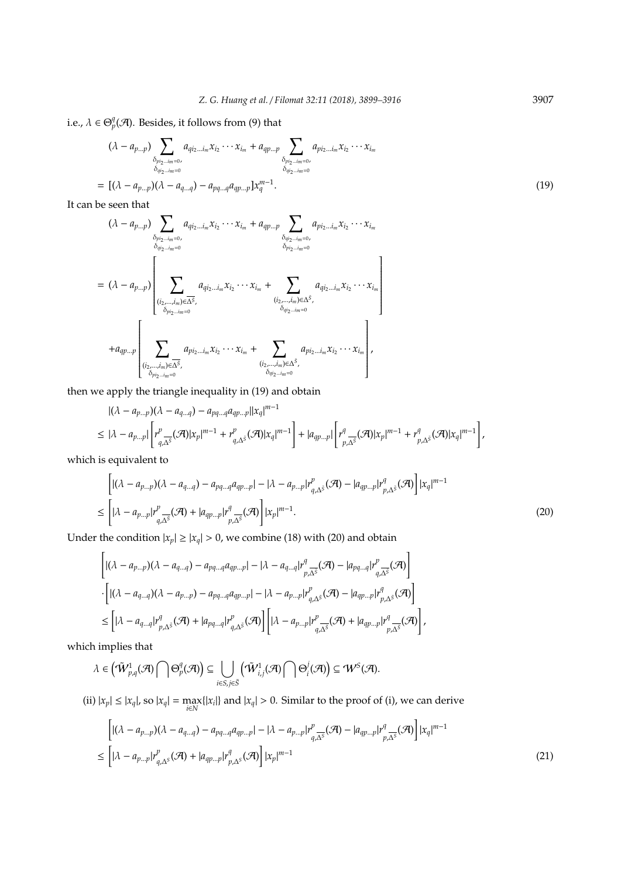i.e.,  $\lambda \in \Theta_p^q(\mathcal{A})$ . Besides, it follows from (9) that

$$
(\lambda - a_{p...p}) \sum_{\substack{\delta_{pi_2...im=0}, \\ \delta_{q_1...im=0}}} a_{q_{i_2...i_m}x_{i_2} \cdots x_{i_m} + a_{qp...p} \sum_{\substack{\delta_{pi_2...im=0}, \\ \delta_{q_2...im=0}}} a_{pi_2...m}x_{i_2} \cdots x_{i_m}
$$
  
= 
$$
[(\lambda - a_{p...p})(\lambda - a_{q...q}) - a_{pq...q}a_{qp...p}]x_q^{m-1}.
$$
 (19)

It can be seen that

$$
(\lambda - a_{p...p}) \sum_{\substack{\delta_{pi_2...im} = 0, \\ \delta_{q_1...im} = 0}} a_{qi_2...im} x_{i_2} \cdots x_{i_m} + a_{qp...p} \sum_{\substack{\delta_{qi_2...im} = 0, \\ \delta_{pi_2...im} = 0}} a_{pi_2...im} x_{i_2} \cdots x_{i_m}
$$
  
=  $(\lambda - a_{p...p}) \left[ \sum_{\substack{(i_2,...,i_m) \in \overline{\Delta^S}, \\ \delta_{pi_2...im} = 0}} a_{qi_2...i_m} x_{i_2} \cdots x_{i_m} + \sum_{\substack{(i_2,...,i_m) \in \Delta^S, \\ \delta_{qi_2...im} = 0}} a_{qi_2...i_m} x_{i_2} \cdots x_{i_m} \right]$   
+  $a_{qp...p} \left[ \sum_{\substack{(i_2,...,i_m) \in \overline{\Delta^S}, \\ \delta_{pi_2...im} = 0}} a_{pi_2...i_m} x_{i_2} \cdots x_{i_m} + \sum_{\substack{(i_2,...,i_m) \in \Delta^S, \\ \delta_{qi_2...im} = 0}} a_{pi_2...i_m} x_{i_2} \cdots x_{i_m} \right],$ 

then we apply the triangle inequality in (19) and obtain

$$
|(\lambda - a_{p\ldots p})(\lambda - a_{q\ldots q}) - a_{pq\ldots q}a_{qp\ldots p}||x_q|^{m-1}
$$
  
\n
$$
\leq |\lambda - a_{p\ldots p}| \left[ r^p_{q,\Delta^{\bar{S}}}(\mathcal{A})|x_p|^{m-1} + r^p_{q,\Delta^{\bar{S}}}(\mathcal{A})|x_q|^{m-1} \right] + |a_{qp\ldots p}| \left[ r^q_{p,\Delta^{\bar{S}}}(\mathcal{A})|x_p|^{m-1} + r^q_{p,\Delta^{\bar{S}}}(\mathcal{A})|x_q|^{m-1} \right],
$$

which is equivalent to

$$
\left[ |(\lambda - a_{p\ldots p})(\lambda - a_{q\ldots q}) - a_{pq\ldots q}a_{qp\ldots p}| - |\lambda - a_{p\ldots p}|r_{q,\Delta^{\bar{S}}}^p(\mathcal{A}) - |a_{qp\ldots p}|r_{p,\Delta^{\bar{S}}}^q(\mathcal{A})| \right] |x_q|^{m-1}
$$
  
\n
$$
\leq \left[ |\lambda - a_{p\ldots p}|r_{q,\Delta^{\bar{S}}}^p(\mathcal{A}) + |a_{qp\ldots p}|r_{p,\Delta^{\bar{S}}}^q(\mathcal{A})| \right] |x_p|^{m-1}.
$$
\n(20)

Under the condition  $|x_p| \ge |x_q| > 0$ , we combine (18) with (20) and obtain

$$
\begin{split} &\left[ |(\lambda-a_{p\ldots p})(\lambda-a_{q\ldots q})-a_{pq\ldots q}a_{qp\ldots p}|-|\lambda-a_{q\ldots q}|r^q_{p,\Delta^S}(\mathcal{A})-|a_{pq\ldots q}|r^p_{q,\Delta^S}(\mathcal{A})\right]\\ &\cdot\left[ |(\lambda-a_{q\ldots q})(\lambda-a_{p\ldots p})-a_{pq\ldots q}a_{qp\ldots p}|-|\lambda-a_{p\ldots p}|r^p_{q,\Delta^S}(\mathcal{A})-|a_{qp\ldots p}|r^q_{p,\Delta^S}(\mathcal{A})\right]\\ &\leq \left[ |\lambda-a_{q\ldots q}|r^q_{p,\Delta^S}(\mathcal{A})+|a_{pq\ldots q}|r^p_{q,\Delta^S}(\mathcal{A})\right]\left[ |\lambda-a_{p\ldots p}|r^p_{q,\Delta^S}(\mathcal{A})+|a_{qp\ldots p}|r^q_{p,\Delta^S}(\mathcal{A})\right], \end{split}
$$

which implies that

$$
\lambda\in\left(\tilde W^1_{p,q}(\mathcal{A})\bigcap\Theta^q_p(\mathcal{A})\right)\subseteq\bigcup_{i\in S,j\in\bar S}\left(\tilde W^1_{i,j}(\mathcal{A})\bigcap\Theta^j_i(\mathcal{A})\right)\subseteq\mathcal{W}^S(\mathcal{A}).
$$

(ii)  $|x_p| \le |x_q|$ , so  $|x_q| = \max_{i \in \mathbb{N}} \{|x_i|\}$  and  $|x_q| > 0$ . Similar to the proof of (i), we can derive

$$
\left[ |(\lambda - a_{p\ldots p})(\lambda - a_{q\ldots q}) - a_{pq\ldots q}a_{qp\ldots p}| - |\lambda - a_{p\ldots p}|r_{q,\Delta^S}^p(\mathcal{A}) - |a_{qp\ldots p}|r_{p,\Delta^S}^q(\mathcal{A}) \right] |x_q|^{m-1}
$$
\n
$$
\leq \left[ |\lambda - a_{p\ldots p}|r_{q,\Delta^S}^p(\mathcal{A}) + |a_{qp\ldots p}|r_{p,\Delta^S}^q(\mathcal{A}) \right] |x_p|^{m-1}
$$
\n(21)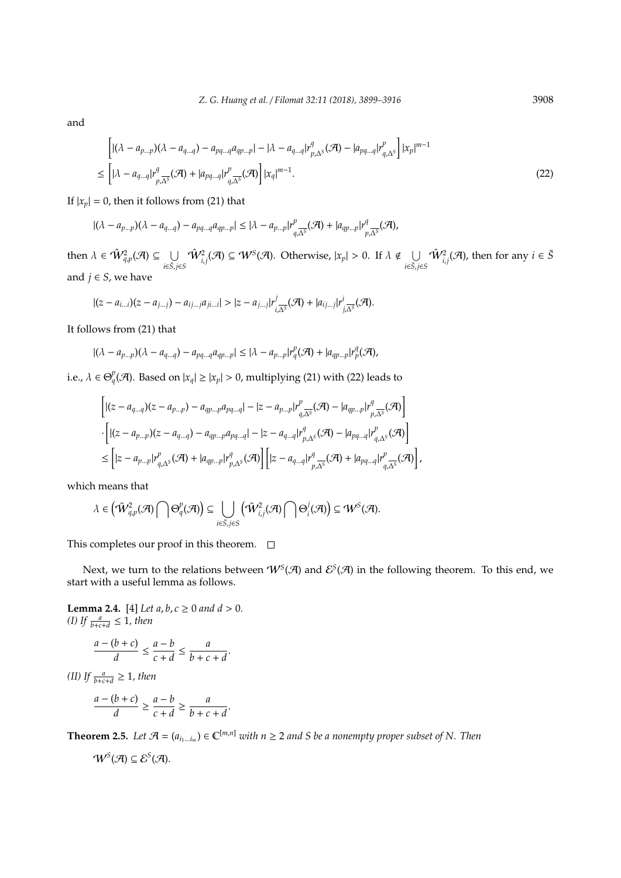and

$$
\begin{split} &\left[ |(\lambda - a_{p\ldots p})(\lambda - a_{q\ldots q}) - a_{pq\ldots q}a_{qp\ldots p}| - |\lambda - a_{q\ldots q}|r_{p,\Delta^S}^q(\mathcal{A}) - |a_{pq\ldots q}|r_{q,\Delta^S}^p \right] |x_p|^{m-1} \\ &\leq \left[ |\lambda - a_{q\ldots q}|r_{p,\Delta^S}^q(\mathcal{A}) + |a_{pq\ldots q}|r_{q,\Delta^S}^p(\mathcal{A}) \right] |x_q|^{m-1} . \end{split} \tag{22}
$$

If  $|x_p| = 0$ , then it follows from (21) that

$$
|(\lambda-a_{p\ldots p})(\lambda-a_{q\ldots q})-a_{pq\ldots q}a_{qp\ldots p}|\leq |\lambda-a_{p\ldots p}|r_{q,\Delta^S}^p(\mathcal{A})+|a_{qp\ldots p}|r_{p,\Delta^S}^q(\mathcal{A}),
$$

then  $\lambda \in \hat{W}_{q,p}^2(\mathcal{A}) \subseteq \cup$ *i*∈*S*¯,*j*∈*S*  $\hat{W}_{i,j}^2(\mathcal{A}) \subseteq \mathcal{W}^S(\mathcal{A})$ . Otherwise,  $|x_p| > 0$ . If  $\lambda \notin \bigcup_{\lambda \in \mathcal{A}}$ *i*∈*S*¯,*j*∈*S*  $\hat{W}_{i,j}^2(\mathcal{A})$ , then for any  $i \in \bar{S}$ and  $j \in S$ , we have

$$
|(z-a_{i...i})(z-a_{j...j})-a_{ij...j}a_{ji...i}|>|z-a_{j...j}|r_{i,\overline{\Delta^{S}}}^{j}(\mathcal{A})+|a_{ij...j}|r_{j,\overline{\Delta^{S}}}^{i}(\mathcal{A}).
$$

It follows from (21) that

$$
|(\lambda - a_{p...p})(\lambda - a_{q...q}) - a_{pq...q}a_{qp...p}| \leq |\lambda - a_{p...p}|r_q^p(\mathcal{A}) + |a_{qp...p}|r_p^q(\mathcal{A}),
$$

i.e.,  $\lambda \in \Theta_q^p(\mathcal{A})$ . Based on  $|x_q| \ge |x_p| > 0$ , multiplying (21) with (22) leads to

$$
\left[ |(z-a_{q\ldots q})(z-a_{p\ldots p}) - a_{qp\ldots p}a_{pq\ldots q}| - |z-a_{p\ldots p}|r_{q,\overline{\Delta^S}}^p(\mathcal{A}) - |a_{qp\ldots p}|r_{p,\overline{\Delta^S}}^q(\mathcal{A}) \right] \cdot \left[ |(z-a_{p\ldots p})(z-a_{q\ldots q}) - a_{qp\ldots p}a_{pq\ldots q}| - |z-a_{q\ldots q}|r_{p,\Delta^S}^q(\mathcal{A}) - |a_{pq\ldots q}|r_{q,\Delta^S}^p(\mathcal{A}) \right] \leq \left[ |z-a_{p\ldots p}|r_{q,\Delta^S}^p(\mathcal{A}) + |a_{qp\ldots p}|r_{p,\Delta^S}^q(\mathcal{A}) \right] \left[ |z-a_{q\ldots q}|r_{p,\overline{\Delta^S}}^q(\mathcal{A}) + |a_{pq\ldots q}|r_{q,\overline{\Delta^S}}^p(\mathcal{A}) \right]
$$

which means that

$$
\lambda\in \left(\tilde{\mathcal{W}}^2_{q,p}(\mathcal{A})\bigcap \Theta^p_q(\mathcal{A})\right)\subseteq \bigcup_{i\in \tilde{S},j\in S}\left(\tilde{\mathcal{W}}^2_{i,j}(\mathcal{A})\bigcap \Theta^j_i(\mathcal{A})\right)\subseteq \mathcal{W}^S(\mathcal{A}).
$$

This completes our proof in this theorem.  $\square$ 

Next, we turn to the relations between  $W<sup>S</sup>(\mathcal{A})$  and  $\mathcal{E}^{S}(\mathcal{A})$  in the following theorem. To this end, we start with a useful lemma as follows.

,

**Lemma 2.4.** [4] *Let a*, *b*,  $c \ge 0$  *and*  $d > 0$ *. (I)* If  $\frac{a}{b+c+d} \leq 1$ *, then* 

$$
\frac{a - (b + c)}{d} \le \frac{a - b}{c + d} \le \frac{a}{b + c + d}.
$$

*(II) If*  $\frac{a}{b+c+d} \geq 1$ *, then* 

$$
\frac{a - (b + c)}{d} \ge \frac{a - b}{c + d} \ge \frac{a}{b + c + d}.
$$

**Theorem 2.5.** *Let*  $\mathcal{A} = (a_{i_1...i_m}) \in \mathbb{C}^{[m,n]}$  *with*  $n \geq 2$  *and S be a nonempty proper subset of N. Then* 

$$
\mathcal{W}^S(\mathcal{A})\subseteq \mathcal{E}^S(\mathcal{A}).
$$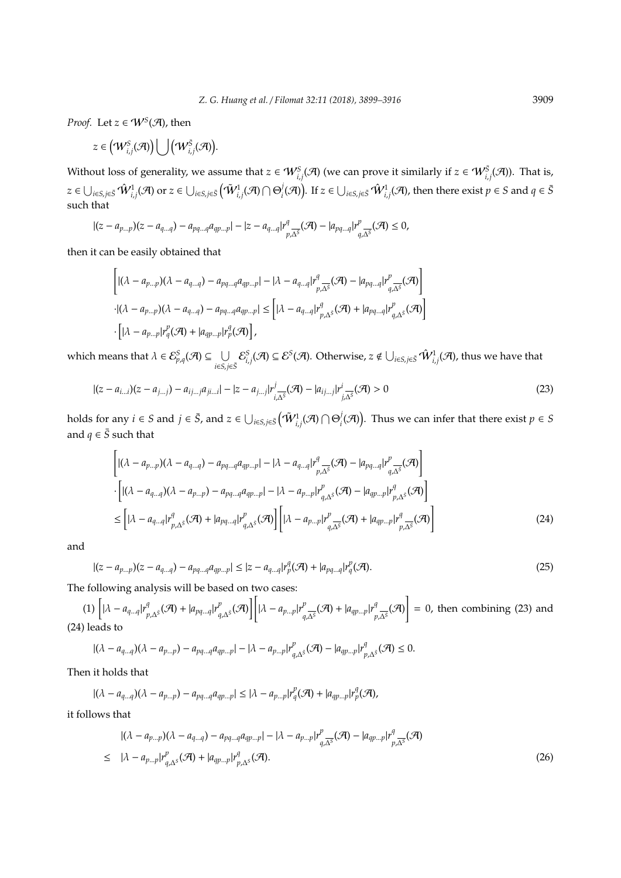*Proof.* Let  $z \in W^S(\mathcal{A})$ , then

$$
z\in \big({\mathcal W}^S_{i,j}({\mathcal A})\big)\bigcup \big({\mathcal W}^S_{i,j}({\mathcal A})\big).
$$

Without loss of generality, we assume that  $z \in W^S_{i,j}(\mathcal{A})$  (we can prove it similarly if  $z \in W^S_{i,j}(\mathcal{A})$ ). That is,  $z\in\bigcup_{i\in S, j\in \bar{S}}\hat{W}_{i,j}^1(\mathcal{A}) \text{ or } z\in\bigcup_{i\in S, j\in \bar{S}}\left(\tilde{W}_{i,j}^1(\mathcal{A})\cap\Theta_i^j(\mathcal{A})\right)$  $(\bar{A}^j_i(\mathcal{A}))$ . If  $z \in \bigcup_{i \in S, j \in \bar{S}} \hat{\mathcal{W}}^1_{i,j}(\mathcal{A})$ , then there exist  $p \in S$  and  $q \in \bar{S}$ such that

$$
|(z-a_{p...p})(z-a_{q...q})-a_{pq...q}a_{qp...p}|-|z-a_{q...q}|r^q_{p,\overline{\Delta^S}}(\mathcal{A})-|a_{pq...q}|r^p_{q,\overline{\Delta^S}}(\mathcal{A})\leq 0,
$$

then it can be easily obtained that

$$
\left[ |(\lambda - a_{p\ldots p})(\lambda - a_{q\ldots q}) - a_{pq\ldots q}a_{qp\ldots p}| - |\lambda - a_{q\ldots q}|r_{p,\Delta^S}^q(\mathcal{A}) - |a_{pq\ldots q}|r_{q,\Delta^S}^p(\mathcal{A}) \right]
$$
  
-( $(\lambda - a_{p\ldots p})(\lambda - a_{q\ldots q}) - a_{pq\ldots q}a_{qp\ldots p}| \leq |[\lambda - a_{q\ldots q}|r_{p,\Delta^S}^q(\mathcal{A}) + |a_{pq\ldots q}|r_{q,\Delta^S}^p(\mathcal{A})|$   
-( $[\lambda - a_{p\ldots p}]r_q^p(\mathcal{A}) + |a_{qp\ldots p}|r_p^q(\mathcal{A})$ ),

which means that  $\lambda \in \mathcal{E}_{p,q}^S(\mathcal{A}) \subseteq \cup$ *i*∈*S*,*j*∈*S*¯  $\mathcal{E}^S_{i,j}(\mathcal{A})\subseteq\mathcal{E}^S(\mathcal{A}).$  Otherwise,  $z\notin\bigcup_{i\in S,j\in\bar{S}}\hat{W}_{i,j}^1(\mathcal{A})$ , thus we have that

$$
|(z - a_{i...i})(z - a_{j...j}) - a_{ij...j}a_{j...i}| - |z - a_{j...j}|r_{i,\overline{\Delta^S}}^j(\mathcal{A}) - |a_{ij...j}|r_{j,\overline{\Delta^S}}^i(\mathcal{A}) > 0
$$
\n(23)

holds for any  $i \in S$  and  $j \in \bar{S}$ , and  $z \in \bigcup_{i \in S, j \in \bar{S}} \left(\tilde{\mathcal{W}}^{1}_{i,j}(\mathcal{A}) \cap \Theta^{j}_{i}\right)$  $\mathcal{A}_i^j(\mathcal{A})$ . Thus we can infer that there exist  $p \in S$ and  $q \in \overline{S}$  such that

$$
\left[ |(\lambda - a_{p\ldots p})(\lambda - a_{q\ldots q}) - a_{pq\ldots q}a_{qp\ldots p}| - |\lambda - a_{q\ldots q}|r^q_{p,\Delta^S}(\mathcal{A}) - |a_{pq\ldots q}|r^p_{q,\Delta^S}(\mathcal{A}) \right] \cdot \left[ |(\lambda - a_{q\ldots q})(\lambda - a_{p\ldots p}) - a_{pq\ldots q}a_{qp\ldots p}| - |\lambda - a_{p\ldots p}|r^p_{q,\Delta^S}(\mathcal{A}) - |a_{qp\ldots p}|r^p_{p,\Delta^S}(\mathcal{A}) \right] \leq \left[ |\lambda - a_{q\ldots q}|r^q_{p,\Delta^S}(\mathcal{A}) + |a_{pq\ldots q}|r^p_{q,\Delta^S}(\mathcal{A}) \right] \left[ |\lambda - a_{p\ldots p}|r^p_{q,\Delta^S}(\mathcal{A}) + |a_{qp\ldots p}|r^q_{p,\Delta^S}(\mathcal{A}) \right]
$$
\n(24)

and

$$
|(z - a_{p...p})(z - a_{q...q}) - a_{pq...q}a_{qp...p}| \le |z - a_{q...q}|r_p^q(\mathcal{A}) + |a_{pq...q}|r_q^p(\mathcal{A}).
$$
\n(25)

The following analysis will be based on two cases:

(1)  $\left[ |\lambda - a_{q} | \right]$  $_{p,\Delta^{\bar{S}}}^q(\mathcal{A}) + |a_{pq...q}|r_q^p$  $\left[\left|\lambda-a_{p}+p\right|\right]$  $\frac{p}{q,\Delta^{\bar{S}}}$  $(\mathcal{A})$  + | $a_{qp...p}$ | $r^q$ <sub>p</sub> *<sup>q</sup>* <sub>p,∆</sub> $\bar{s}$ </sub>(A) = 0, then combining (23) and (24) leads to

$$
|(\lambda - a_{q\ldots q})(\lambda - a_{p\ldots p}) - a_{pq\ldots q}a_{qp\ldots p}| - |\lambda - a_{p\ldots p}|r^p_{q,\Delta^S}(\mathcal{A}) - |a_{qp\ldots p}|r^q_{p,\Delta^S}(\mathcal{A}) \leq 0.
$$

Then it holds that

$$
|(\lambda - a_{q\ldots q})(\lambda - a_{p\ldots p}) - a_{pq\ldots q}a_{qp\ldots p}| \leq |\lambda - a_{p\ldots p}|r_q^p(\mathcal{A}) + |a_{qp\ldots p}|r_p^q(\mathcal{A}),
$$

it follows that

$$
|(\lambda - a_{p\ldots p})(\lambda - a_{q\ldots q}) - a_{pq\ldots q}a_{qp\ldots p}| - |\lambda - a_{p\ldots p}|r_{q,\Delta^S}^p(\mathcal{A}) - |a_{qp\ldots p}|r_{p,\Delta^S}^q(\mathcal{A})
$$
  
\n
$$
\leq |\lambda - a_{p\ldots p}|r_{q,\Delta^S}^p(\mathcal{A}) + |a_{qp\ldots p}|r_{p,\Delta^S}^q(\mathcal{A}).
$$
\n(26)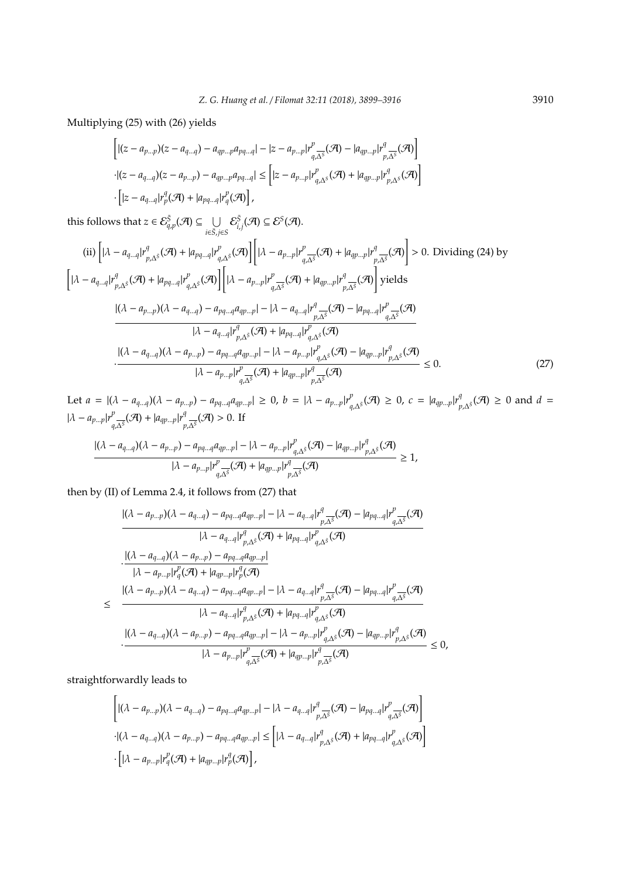Multiplying (25) with (26) yields

$$
\left[ |(z - a_{p...p})(z - a_{q...q}) - a_{qp...p}a_{pq...q}| - |z - a_{p...p}|r_{q,\overline{\Delta^S}}^p(\mathcal{A}) - |a_{qp...p}|r_{p,\overline{\Delta^S}}^q(\mathcal{A}) \right]
$$
  
\n
$$
\cdot |(z - a_{q...q})(z - a_{p...p}) - a_{qp...p}a_{pq...q}| \leq \left[ |z - a_{p...p}|r_{q,\Delta^S}^p(\mathcal{A}) + |a_{qp...p}|r_{p,\Delta^S}^q(\mathcal{A}) \right]
$$
  
\n
$$
\cdot \left[ |z - a_{q...q}|r_p^q(\mathcal{A}) + |a_{pq...q}|r_q^p(\mathcal{A}) \right],
$$

this follows that  $z \in \mathcal{E}_{q,p}^{\bar{S}}(\mathcal{A}) \subseteq \cup$ *i*∈*S*¯,*j*∈*S*  $\mathcal{E}^{\bar{S}}_{i,j}(\mathcal{A})\subseteq\mathcal{E}^{S}(\mathcal{A}).$ 

(ii) 
$$
\left[ |\lambda - a_{q...q}| r_{p,\Delta^{S}}^{q}(\mathcal{A}) + |a_{pq...q}| r_{q,\Delta^{S}}^{p}(\mathcal{A}) \right] \left[ |\lambda - a_{p...p}| r_{q,\Delta^{S}}^{p}(\mathcal{A}) + |a_{qp...p}| r_{p,\Delta^{S}}^{q}(\mathcal{A}) \right] > 0.
$$
 Dividing (24) by  
\n
$$
\left[ |\lambda - a_{q...q}| r_{p,\Delta^{S}}^{q}(\mathcal{A}) + |a_{pq...q}| r_{q,\Delta^{S}}^{p}(\mathcal{A}) \right] \left[ |\lambda - a_{p...p}| r_{q,\Delta^{S}}^{p}(\mathcal{A}) + |a_{qp...p}| r_{p,\Delta^{S}}^{q}(\mathcal{A}) \right] \text{ yields}
$$
\n
$$
\frac{|(\lambda - a_{p...p})(\lambda - a_{q...q}) - a_{pq...q} a_{qp...p}| - |\lambda - a_{q...q}| r_{p,\Delta^{S}}^{q}(\mathcal{A}) - |a_{pq...q}| r_{q,\Delta^{S}}^{p}(\mathcal{A})}{|\lambda - a_{q...q}| r_{p,\Delta^{S}}^{p}(\mathcal{A}) + |a_{pq...q}| r_{q,\Delta^{S}}^{p}(\mathcal{A})}
$$
\n
$$
\frac{|(\lambda - a_{q...q})(\lambda - a_{p...p}) - a_{pq...q} a_{qp...p}| - |\lambda - a_{p...p}| r_{q,\Delta^{S}}^{p}(\mathcal{A}) - |a_{qp...p}| r_{p,\Delta^{S}}^{q}(\mathcal{A})}{|\lambda - a_{p...p}| r_{q,\Delta^{S}}^{p}(\mathcal{A}) + |a_{qp...p}| r_{p,\Delta^{S}}^{p}(\mathcal{A})} \leq 0.
$$
\n(27)

Let  $a = |(\lambda - a_{q...q})(\lambda - a_{p...p}) - a_{pq...q}a_{qp...p}| \ge 0$ ,  $b = |\lambda - a_{p...p}|r_p^p$  $P_{q,\Delta^{\bar{S}}}(\mathcal{A}) \ge 0$ ,  $c = |a_{qp...p}|r_p^q$  $P_{p,\Delta^{\bar{S}}}(\mathcal{A})$  ≥ 0 and *d* =  $|\lambda - a_{p...p}|r^p$  $P_{q,\overline{\Delta^S}}(\mathcal{A}) + |a_{qp...p}|r_p^q$  ${}_{p,\overline{\Delta^{\mathcal{S}}}}^{q}(\mathcal{A})$  > 0. If

$$
\frac{|(\lambda - a_{q\ldots q})(\lambda - a_{p\ldots p}) - a_{pq\ldots q}a_{qp\ldots p}| - |\lambda - a_{p\ldots p}|r_{q,\Delta^{\bar{s}}}^p(\mathcal{A}) - |a_{qp\ldots p}|r_{p,\Delta^{\bar{s}}}^q(\mathcal{A})}{|\lambda - a_{p\ldots p}|r_{q,\Delta^{\bar{s}}}^p(\mathcal{A}) + |a_{qp\ldots p}|r_{p,\Delta^{\bar{s}}}^q(\mathcal{A})} \ge 1,
$$

then by (II) of Lemma 2.4, it follows from (27) that

$$
\begin{split}\n&\frac{|(\lambda - a_{p\ldots p})(\lambda - a_{q\ldots q}) - a_{pq\ldots q}a_{qp\ldots p}| - |\lambda - a_{q\ldots q}|r^q_{p,\Delta^{\bar{s}}}(\mathcal{A}) - |a_{pq\ldots q}|r^p_{q,\Delta^{\bar{s}}}(\mathcal{A})}{|\lambda - a_{q\ldots q}|r^q_{p,\Delta^{\bar{s}}}(\mathcal{A}) + |a_{pq\ldots q}|r^p_{q,\Delta^{\bar{s}}}(\mathcal{A})} \\
&\cdot \frac{|(\lambda - a_{q\ldots q})(\lambda - a_{p\ldots p}) - a_{pq\ldots q}a_{qp\ldots p}|}{|\lambda - a_{p\ldots p}|r^p_q(\mathcal{A}) + |a_{qp\ldots p}|r^q_p(\mathcal{A})} \\
&\leq \frac{|(\lambda - a_{p\ldots p})(\lambda - a_{q\ldots q}) - a_{pq\ldots q}a_{qp\ldots p}| - |\lambda - a_{q\ldots q}|r^q_{p,\Delta^{\bar{s}}}(\mathcal{A}) - |a_{pq\ldots q}|r^p_{q,\Delta^{\bar{s}}}(\mathcal{A})}{|\lambda - a_{q\ldots q}|r^q_{p,\Delta^{\bar{s}}}(\mathcal{A}) + |a_{pq\ldots q}|r^p_{q,\Delta^{\bar{s}}}(\mathcal{A})} \\
&\cdot \frac{|(\lambda - a_{q\ldots q})(\lambda - a_{p\ldots p}) - a_{pq\ldots q}a_{qp\ldots p}| - |\lambda - a_{p\ldots p}|r^p_{q,\Delta^{\bar{s}}}(\mathcal{A}) - |a_{qp\ldots p}|r^q_{p,\Delta^{\bar{s}}}(\mathcal{A})}{|\lambda - a_{p\ldots p}|r^p_{q,\Delta^{\bar{s}}}(\mathcal{A}) + |a_{qp\ldots p}|r^q_{p,\Delta^{\bar{s}}}(\mathcal{A})} \leq 0,\n\end{split}
$$

straightforwardly leads to

$$
\left[ |(\lambda - a_{p\ldots p})(\lambda - a_{q\ldots q}) - a_{pq\ldots q}a_{qp\ldots p}| - |\lambda - a_{q\ldots q}|r_{p,\Delta^S}^q(\mathcal{A}) - |a_{pq\ldots q}|r_{q,\Delta^S}^p(\mathcal{A}) \right]
$$
  
 
$$
\cdot |(\lambda - a_{q\ldots q})(\lambda - a_{p\ldots p}) - a_{pq\ldots q}a_{qp\ldots p}| \leq |[\lambda - a_{q\ldots q}|r_{p,\Delta^S}^q(\mathcal{A}) + |a_{pq\ldots q}|r_{q,\Delta^S}^p(\mathcal{A})|
$$
  
 
$$
\cdot [|\lambda - a_{p\ldots p}|r_q^p(\mathcal{A}) + |a_{qp\ldots p}|r_p^q(\mathcal{A})],
$$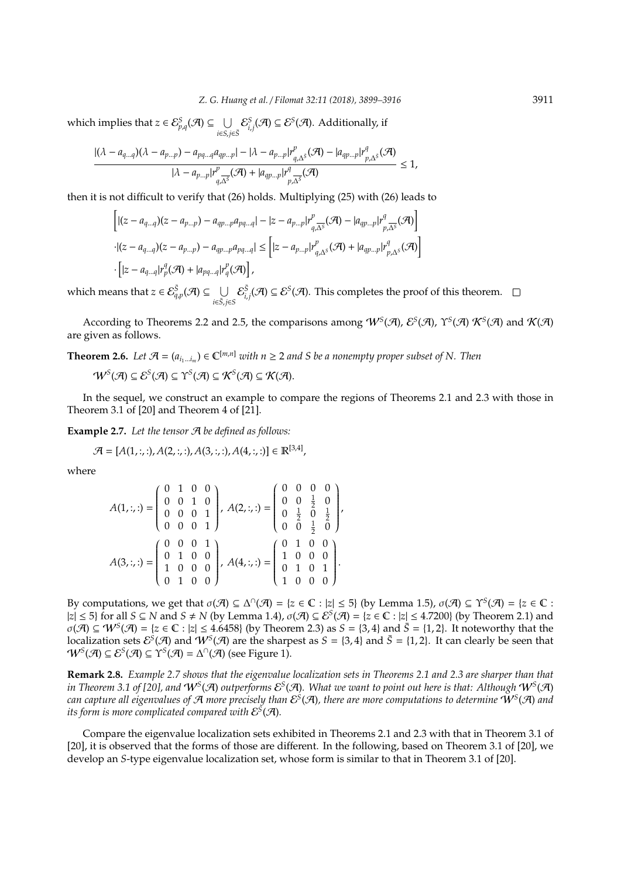which implies that  $z \in \mathcal{E}_{p,q}^S(\mathcal{A}) \subseteq \cup$ *i*∈*S*,*j*∈*S*¯  $\mathcal{E}_{i,j}^S(\mathcal{A}) \subseteq \mathcal{E}^S(\mathcal{A})$ . Additionally, if

$$
\frac{|(\lambda - a_{q\ldots q})(\lambda - a_{p\ldots p}) - a_{pq\ldots q}a_{qp\ldots p}| - |\lambda - a_{p\ldots p}|r_{q,\Delta^S}^p(\mathcal{A}) - |a_{qp\ldots p}|r_{p,\Delta^S}^q(\mathcal{A})}{|\lambda - a_{p\ldots p}|r_{q,\Delta^S}^p(\mathcal{A}) + |a_{qp\ldots p}|r_{p,\Delta^S}^q(\mathcal{A})} \le 1,
$$

then it is not difficult to verify that (26) holds. Multiplying (25) with (26) leads to

$$
\begin{aligned} &\left[|(z-a_{q...q})(z-a_{p...p})-a_{qp...p}a_{pq...q}|-|z-a_{p...p}|r_{q,\overline{\Delta^S}}^p(\mathcal{A})-|a_{qp...p}|r_{p,\overline{\Delta^S}}^q(\mathcal{A})\right]\\ &\cdot |(z-a_{q...q})(z-a_{p...p})-a_{qp...p}a_{pq...q}|\leq \left[|z-a_{p...p}|r_{q,\Delta^S}^p(\mathcal{A})+|a_{qp...p}|r_{p,\Delta^S}^q(\mathcal{A})\right]\\ &\cdot\left[|z-a_{q...q}|r_p^q(\mathcal{A})+|a_{pq...q}|r_q^p(\mathcal{A})\right], \end{aligned}
$$

which means that  $z \in \mathcal{E}^{\bar{S}}_{q,p}(\mathcal{A}) \subseteq \cup$ *i*∈*S*¯,*j*∈*S*  $\mathcal{E}_{i,j}^{\bar{S}}(\mathcal{A}) \subseteq \mathcal{E}^{S}(\mathcal{A})$ . This completes the proof of this theorem.

According to Theorems 2.2 and 2.5, the comparisons among  $W^S(\mathcal{A})$ ,  $\mathcal{E}^S(\mathcal{A})$ ,  $\Upsilon^S(\mathcal{A})$   $\mathcal{K}^S(\mathcal{A})$  and  $\mathcal{K}(\mathcal{A})$ are given as follows.

**Theorem 2.6.** *Let*  $\mathcal{A} = (a_{i_1...i_m}) \in \mathbb{C}^{[m,n]}$  *with*  $n \geq 2$  *and S be a nonempty proper subset of N. Then* 

$$
\mathcal{W}^S(\mathcal{A}) \subseteq \mathcal{E}^S(\mathcal{A}) \subseteq \Upsilon^S(\mathcal{A}) \subseteq \mathcal{K}^S(\mathcal{A}) \subseteq \mathcal{K}(\mathcal{A}).
$$

In the sequel, we construct an example to compare the regions of Theorems 2.1 and 2.3 with those in Theorem 3.1 of [20] and Theorem 4 of [21].

**Example 2.7.** *Let the tensor* A *be defined as follows:*

$$
\mathcal{A} = [A(1, :, :), A(2, :, :), A(3, :, :), A(4, :, :)] \in \mathbb{R}^{[3,4]},
$$

where

$$
A(1,:,:) = \begin{pmatrix} 0 & 1 & 0 & 0 \\ 0 & 0 & 1 & 0 \\ 0 & 0 & 0 & 1 \\ 0 & 0 & 0 & 1 \end{pmatrix}, A(2,:,:) = \begin{pmatrix} 0 & 0 & 0 & 0 \\ 0 & 0 & \frac{1}{2} & 0 \\ 0 & \frac{1}{2} & 0 & \frac{1}{2} \\ 0 & 0 & \frac{1}{2} & 0 \end{pmatrix}, A(3,:,:) = \begin{pmatrix} 0 & 0 & 0 & 0 \\ 0 & 0 & 0 & 1 \\ 1 & 0 & 0 & 0 \\ 1 & 0 & 0 & 0 \end{pmatrix}, A(4,:,:) = \begin{pmatrix} 0 & 1 & 0 & 0 \\ 1 & 0 & 0 & 0 \\ 0 & 1 & 0 & 1 \\ 1 & 0 & 0 & 0 \end{pmatrix}.
$$

By computations, we get that  $\sigma(\mathcal{A}) \subseteq \Delta^{\cap}(\mathcal{A}) = \{z \in \mathbb{C} : |z| \leq 5\}$  (by Lemma 1.5),  $\sigma(\mathcal{A}) \subseteq \Upsilon^{S}(\mathcal{A}) = \{z \in \mathbb{C} : |z| \leq 5\}$  $|z| \le 5$ } for all  $S \subseteq N$  and  $S \ne N$  (by Lemma 1.4),  $\sigma(\mathcal{A}) \subseteq \mathcal{E}^S(\mathcal{A}) = \{z \in \mathbb{C} : |z| \le 4.7200\}$  (by Theorem 2.1) and  $\sigma(\mathcal{A}) \subseteq \mathcal{W}^S(\mathcal{A}) = \{z \in \mathbb{C} : |z| \le 4.6458\}$  (by Theorem 2.3) as  $S = \{3, 4\}$  and  $\overline{S} = \{1, 2\}$ . It noteworthy that the localization sets  $\mathcal{E}^S(\mathcal{A})$  and  $W^S(\mathcal{A})$  are the sharpest as  $S = \{3, 4\}$  and  $\bar{S} = \{1, 2\}$ . It can clearly be seen that  $W^S(\mathcal{A}) \subseteq \mathcal{E}^S(\mathcal{A}) \subseteq \Upsilon^S(\mathcal{A}) = \Delta^{\cap}(\mathcal{A})$  (see Figure 1).

**Remark 2.8.** *Example 2.7 shows that the eigenvalue localization sets in Theorems 2.1 and 2.3 are sharper than that* in Theorem 3.1 of [20], and  $W^S(\mathcal{A})$  outperforms  $\mathcal{E}^S(\mathcal{A})$ . What we want to point out here is that: Although  $W^S(\mathcal{A})$ can capture all eigenvalues of A more precisely than  $\mathcal{E}^S(\mathcal{A})$ , there are more computations to determine  $W^S(\mathcal{A})$  and its form is more complicated compared with  $\mathcal{E}^{\tilde{S}}(\mathcal{A}).$ 

Compare the eigenvalue localization sets exhibited in Theorems 2.1 and 2.3 with that in Theorem 3.1 of [20], it is observed that the forms of those are different. In the following, based on Theorem 3.1 of [20], we develop an *S*-type eigenvalue localization set, whose form is similar to that in Theorem 3.1 of [20].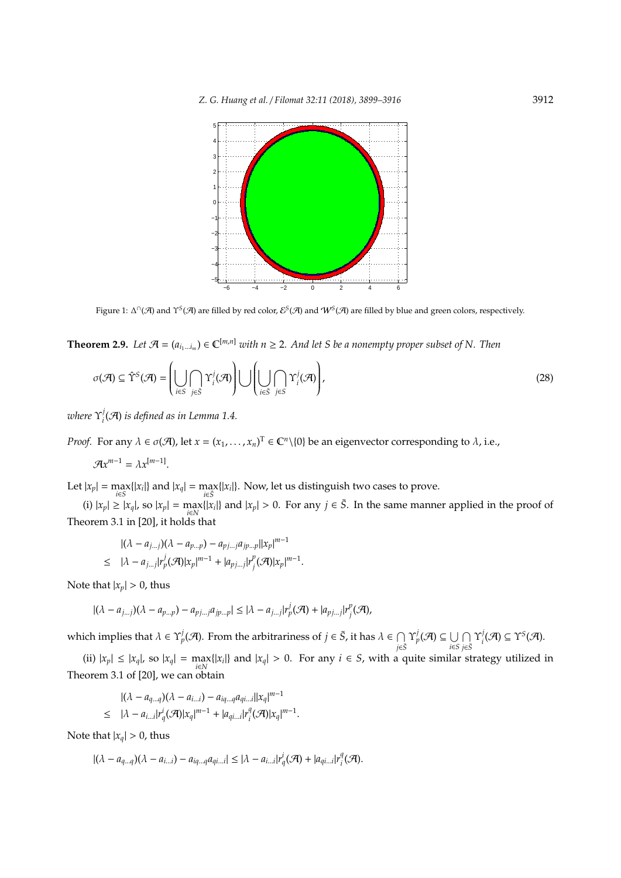

Figure 1: ∆<sup>∩</sup>(A) and  $\Upsilon^S(\mathcal{A})$  are filled by red color,  $\mathcal{E}^S(\mathcal{A})$  and  $\mathcal{W}^S(\mathcal{A})$  are filled by blue and green colors, respectively.

**Theorem 2.9.** *Let*  $\mathcal{A} = (a_{i_1...i_m}) \in \mathbb{C}^{[m,n]}$  *with*  $n \geq 2$ . And let S be a nonempty proper subset of N. Then

$$
\sigma(\mathcal{A}) \subseteq \hat{\Upsilon}^S(\mathcal{A}) = \left( \bigcup_{i \in S} \bigcap_{j \in S} \Upsilon_i^j(\mathcal{A}) \right) \bigcup \left( \bigcup_{i \in \bar{S}} \bigcap_{j \in S} \Upsilon_i^j(\mathcal{A}) \right),\tag{28}
$$

*where* Υ *j*  $\mathcal{A}_i^j(\mathcal{A})$  is defined as in Lemma 1.4.

*Proof.* For any  $\lambda \in \sigma(\mathcal{A})$ , let  $x = (x_1, \ldots, x_n)^T \in \mathbb{C}^n \setminus \{0\}$  be an eigenvector corresponding to  $\lambda$ , i.e.,

$$
\mathcal{A}x^{m-1}=\lambda x^{[m-1]}.
$$

Let  $|x_p| = \max_{i \in S} \{|x_i|\}$  and  $|x_q| = \max_{i \in \overline{S}} \{|x_i|\}$ . Now, let us distinguish two cases to prove.

(i)  $|x_p| \ge |x_q|$ , so  $|x_p| = \max_{i \in N} \{|x_i|\}$  and  $|x_p| > 0$ . For any  $j \in \overline{S}$ . In the same manner applied in the proof of Theorem 3.1 in [20], it holds that

$$
|(\lambda - a_{j\ldots j})(\lambda - a_{p\ldots p}) - a_{p j\ldots j} a_{j p\ldots p} ||x_p|^{m-1}
$$
  
\n
$$
\leq |\lambda - a_{j\ldots j}| r_p^j(\mathcal{A}) |x_p|^{m-1} + |a_{p j\ldots j}| r_j^p(\mathcal{A}) |x_p|^{m-1}.
$$

Note that  $|x_p| > 0$ , thus

$$
|(\lambda - a_{j\ldots j})(\lambda - a_{p\ldots p}) - a_{p j\ldots j} a_{j p\ldots p}| \leq |\lambda - a_{j\ldots j}|r_p^j(\mathcal{A}) + |a_{p j\ldots j}|r_j^p(\mathcal{A}),
$$

which implies that  $\lambda \in \Upsilon_p^j(\mathcal{A})$ . From the arbitrariness of  $j \in \bar{S}$ , it has  $\lambda \in \bigcap$ *j*∈*S*¯  $\Upsilon_p^j(\mathcal{A}) \subseteq \bigcup$ *i*∈*S*  $\cap$ *j*∈*S*¯  $\Upsilon_i^j$  $\gamma^j_i(\mathcal{A}) \subseteq \Upsilon^S(\mathcal{A}).$ 

(ii)  $|x_p| \le |x_q|$ , so  $|x_q| = \max_{i \in N} \{|x_i|\}$  and  $|x_q| > 0$ . For any  $i \in S$ , with a quite similar strategy utilized in Theorem 3.1 of [20], we can obtain

$$
|(\lambda - a_{q\ldots q})(\lambda - a_{i\ldots i}) - a_{iq\ldots q}a_{qi\ldots i}||x_q|^{m-1}
$$
  
\n
$$
\leq |\lambda - a_{i\ldots i}|r_q^i(\mathcal{A})|x_q|^{m-1} + |a_{qi\ldots i}|r_i^q(\mathcal{A})|x_q|^{m-1}.
$$

Note that  $|x_q| > 0$ , thus

$$
|(\lambda-a_{q\ldots q})(\lambda-a_{i\ldots i})-a_{iq\ldots q}a_{qi\ldots i}|\leq |\lambda-a_{i\ldots i}|r^i_q({\mathcal A})+|a_{qi\ldots i}|r^q_i({\mathcal A}).
$$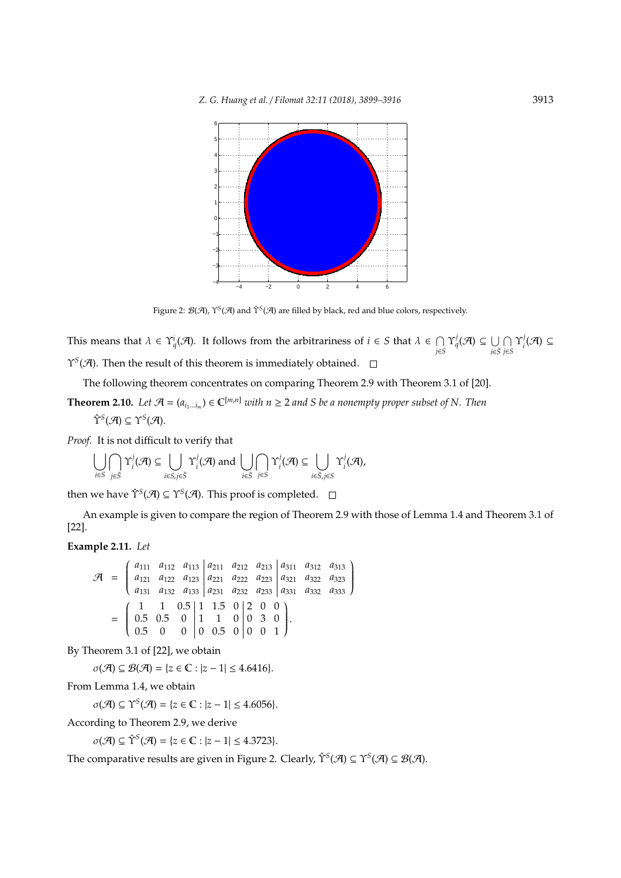

Figure 2: *B*(*A*), Y<sup>S</sup>(*A*) and Y<sup>S</sup>(*A*) are filled by black, red and blue colors, respectively.

This means that  $\lambda \in \Upsilon_q^i(\mathcal{A})$ . It follows from the arbitrariness of  $i \in S$  that  $\lambda \in \bigcap$  $\bigcap_{j\in S}\Upsilon_q^j(\mathcal{A})\subseteq \bigcup_{i\in \bar{S}}$ *i*∈*S*¯  $\bigcap$ *j*∈*S* Υ *j*  $i^j$ (A) ⊆ Υ*S* (A). Then the result of this theorem is immediately obtained.

The following theorem concentrates on comparing Theorem 2.9 with Theorem 3.1 of [20].

**Theorem 2.10.** Let  $\mathcal{A} = (a_{i_1...i_m}) \in \mathbb{C}^{[m,n]}$  with  $n \geq 2$  and S be a nonempty proper subset of N. Then

$$
\hat{\Upsilon}^S(\mathcal{A}) \subseteq \Upsilon^S(\mathcal{A}).
$$

*Proof.* It is not difficult to verify that

$$
\bigcup_{i\in S}\bigcap_{j\in \bar{S}}\Upsilon^j_i(\mathcal{A})\subseteq\bigcup_{i\in S, j\in \bar{S}}\Upsilon^j_i(\mathcal{A})\text{ and }\bigcup_{i\in \bar{S}}\bigcap_{j\in S}\Upsilon^j_i(\mathcal{A})\subseteq\bigcup_{i\in \bar{S}, j\in S}\Upsilon^j_i(\mathcal{A}),
$$

then we have  $\hat{\Upsilon}^{\mathcal{S}}(\mathcal{A}) \subseteq \Upsilon^{\mathcal{S}}(\mathcal{A})$ . This proof is completed.

An example is given to compare the region of Theorem 2.9 with those of Lemma 1.4 and Theorem 3.1 of [22].

## **Example 2.11.** *Let*

$$
\mathcal{A} = \begin{pmatrix} a_{111} & a_{112} & a_{113} & a_{211} & a_{212} & a_{213} & a_{311} & a_{312} & a_{313} \\ a_{121} & a_{122} & a_{123} & a_{221} & a_{222} & a_{223} & a_{321} & a_{322} & a_{323} \\ a_{131} & a_{132} & a_{133} & a_{231} & a_{232} & a_{233} & a_{331} & a_{332} & a_{333} \end{pmatrix}
$$

$$
= \begin{pmatrix} 1 & 1 & 0.5 & 1 & 1.5 & 0 & 2 & 0 & 0 \\ 0.5 & 0.5 & 0 & 1 & 1 & 0 & 0 & 3 & 0 \\ 0.5 & 0 & 0 & 0 & 0.5 & 0 & 0 & 0 & 1 \end{pmatrix}.
$$

By Theorem 3.1 of [22], we obtain

 $\sigma(\mathcal{A}) \subseteq \mathcal{B}(\mathcal{A}) = \{z \in \mathbb{C} : |z - 1| \leq 4.6416\}.$ 

From Lemma 1.4, we obtain

 $\sigma(\mathcal{A}) \subseteq \Upsilon^S(\mathcal{A}) = \{z \in \mathbb{C} : |z - 1| \leq 4.6056\}.$ 

According to Theorem 2.9, we derive

 $\sigma(\mathcal{A}) \subseteq \hat{\Upsilon}^{\mathcal{S}}(\mathcal{A}) = \{z \in \mathbb{C} : |z - 1| \leq 4.3723\}.$ 

The comparative results are given in Figure 2. Clearly,  $\hat{\Upsilon}^S(\mathcal{A}) \subseteq \Upsilon^S(\mathcal{A}) \subseteq \mathcal{B}(\mathcal{A})$ .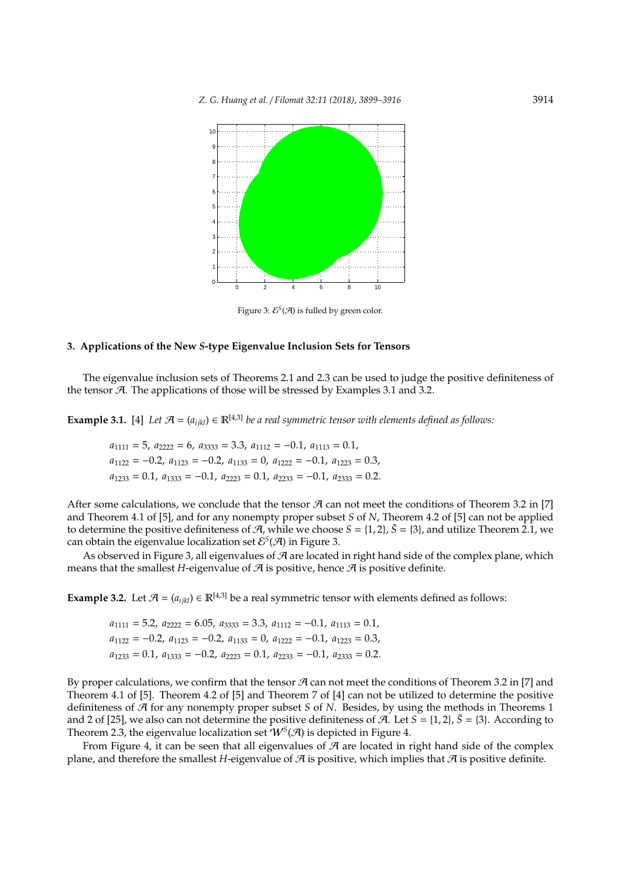

Figure 3:  $\mathcal{E}^{\mathcal{S}}(\mathcal{A})$  is fulled by green color.

#### **3. Applications of the New** *S***-type Eigenvalue Inclusion Sets for Tensors**

The eigenvalue inclusion sets of Theorems 2.1 and 2.3 can be used to judge the positive definiteness of the tensor  $A$ . The applications of those will be stressed by Examples 3.1 and 3.2.

**Example 3.1.** [4] Let  $\mathcal{A} = (a_{ijkl}) \in \mathbb{R}^{[4,3]}$  *be a real symmetric tensor with elements defined as follows:* 

$$
a_{1111} = 5
$$
,  $a_{2222} = 6$ ,  $a_{3333} = 3.3$ ,  $a_{1112} = -0.1$ ,  $a_{1113} = 0.1$ ,  
\n $a_{1122} = -0.2$ ,  $a_{1123} = -0.2$ ,  $a_{1133} = 0$ ,  $a_{1222} = -0.1$ ,  $a_{1223} = 0.3$ ,  
\n $a_{1233} = 0.1$ ,  $a_{1333} = -0.1$ ,  $a_{2223} = 0.1$ ,  $a_{2233} = -0.1$ ,  $a_{2333} = 0.2$ .

After some calculations, we conclude that the tensor  $\mathcal A$  can not meet the conditions of Theorem 3.2 in [7] and Theorem 4.1 of [5], and for any nonempty proper subset *S* of *N*, Theorem 4.2 of [5] can not be applied to determine the positive definiteness of  $A$ , while we choose  $S = \{1, 2\}$ ,  $\bar{S} = \{3\}$ , and utilize Theorem 2.1, we can obtain the eigenvalue localization set  $\mathcal{E}^{S}(\mathcal{A})$  in Figure 3.

As observed in Figure 3, all eigenvalues of  $\mathcal A$  are located in right hand side of the complex plane, which means that the smallest *H*-eigenvalue of  $A$  is positive, hence  $A$  is positive definite.

**Example 3.2.** Let  $\mathcal{A} = (a_{ijkl}) \in \mathbb{R}^{[4,3]}$  be a real symmetric tensor with elements defined as follows:

 $a_{1111} = 5.2, a_{2222} = 6.05, a_{3333} = 3.3, a_{1112} = -0.1, a_{1113} = 0.1,$  $a_{1122} = -0.2$ ,  $a_{1123} = -0.2$ ,  $a_{1133} = 0$ ,  $a_{1222} = -0.1$ ,  $a_{1223} = 0.3$ ,  $a_{1233} = 0.1, a_{1333} = -0.2, a_{2223} = 0.1, a_{2233} = -0.1, a_{2333} = 0.2.$ 

By proper calculations, we confirm that the tensor  $A$  can not meet the conditions of Theorem 3.2 in [7] and Theorem 4.1 of [5]. Theorem 4.2 of [5] and Theorem 7 of [4] can not be utilized to determine the positive definiteness of A for any nonempty proper subset *S* of *N*. Besides, by using the methods in Theorems 1 and 2 of [25], we also can not determine the positive definiteness of A. Let  $S = \{1, 2\}$ ,  $\bar{S} = \{3\}$ . According to Theorem 2.3, the eigenvalue localization set  $\hat{\mathcal{W}}^{S}(\mathcal{A})$  is depicted in Figure 4.

From Figure 4, it can be seen that all eigenvalues of  $\mathcal A$  are located in right hand side of the complex plane, and therefore the smallest *H*-eigenvalue of  $\mathcal A$  is positive, which implies that  $\mathcal A$  is positive definite.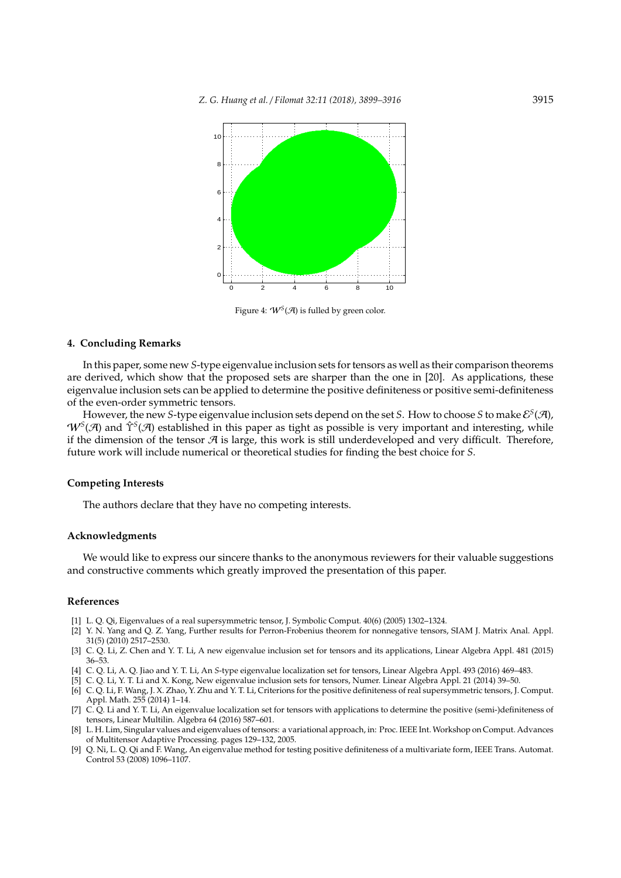

Figure 4:  $W<sup>S</sup>(A)$  is fulled by green color.

#### **4. Concluding Remarks**

In this paper, some new *S*-type eigenvalue inclusion sets for tensors as well as their comparison theorems are derived, which show that the proposed sets are sharper than the one in [20]. As applications, these eigenvalue inclusion sets can be applied to determine the positive definiteness or positive semi-definiteness of the even-order symmetric tensors.

However, the new S-type eigenvalue inclusion sets depend on the set S. How to choose S to make  $\mathcal{E}^S(\mathcal{A})$ , W<sup>S</sup>(A) and Υ<sup>S</sup>(A) established in this paper as tight as possible is very important and interesting, while if the dimension of the tensor  $\mathcal A$  is large, this work is still underdeveloped and very difficult. Therefore, future work will include numerical or theoretical studies for finding the best choice for *S*.

## **Competing Interests**

The authors declare that they have no competing interests.

#### **Acknowledgments**

We would like to express our sincere thanks to the anonymous reviewers for their valuable suggestions and constructive comments which greatly improved the presentation of this paper.

#### **References**

- [1] L. Q. Qi, Eigenvalues of a real supersymmetric tensor, J. Symbolic Comput. 40(6) (2005) 1302–1324.
- [2] Y. N. Yang and Q. Z. Yang, Further results for Perron-Frobenius theorem for nonnegative tensors, SIAM J. Matrix Anal. Appl. 31(5) (2010) 2517–2530.
- [3] C. Q. Li, Z. Chen and Y. T. Li, A new eigenvalue inclusion set for tensors and its applications, Linear Algebra Appl. 481 (2015) 36–53.
- [4] C. Q. Li, A. Q. Jiao and Y. T. Li, An *S*-type eigenvalue localization set for tensors, Linear Algebra Appl. 493 (2016) 469–483.
- [5] C. Q. Li, Y. T. Li and X. Kong, New eigenvalue inclusion sets for tensors, Numer. Linear Algebra Appl. 21 (2014) 39–50. [6] C. Q. Li, F. Wang, J. X. Zhao, Y. Zhu and Y. T. Li, Criterions for the positive definiteness of real supersymmetric tensors, J. Comput.
- Appl. Math. 255 (2014) 1–14. [7] C. Q. Li and Y. T. Li, An eigenvalue localization set for tensors with applications to determine the positive (semi-)definiteness of
- tensors, Linear Multilin. Algebra 64 (2016) 587–601. [8] L. H. Lim, Singular values and eigenvalues of tensors: a variational approach, in: Proc. IEEE Int. Workshop on Comput. Advances
- of Multitensor Adaptive Processing. pages 129–132, 2005. [9] Q. Ni, L. Q. Qi and F. Wang, An eigenvalue method for testing positive definiteness of a multivariate form, IEEE Trans. Automat.
- Control 53 (2008) 1096–1107.